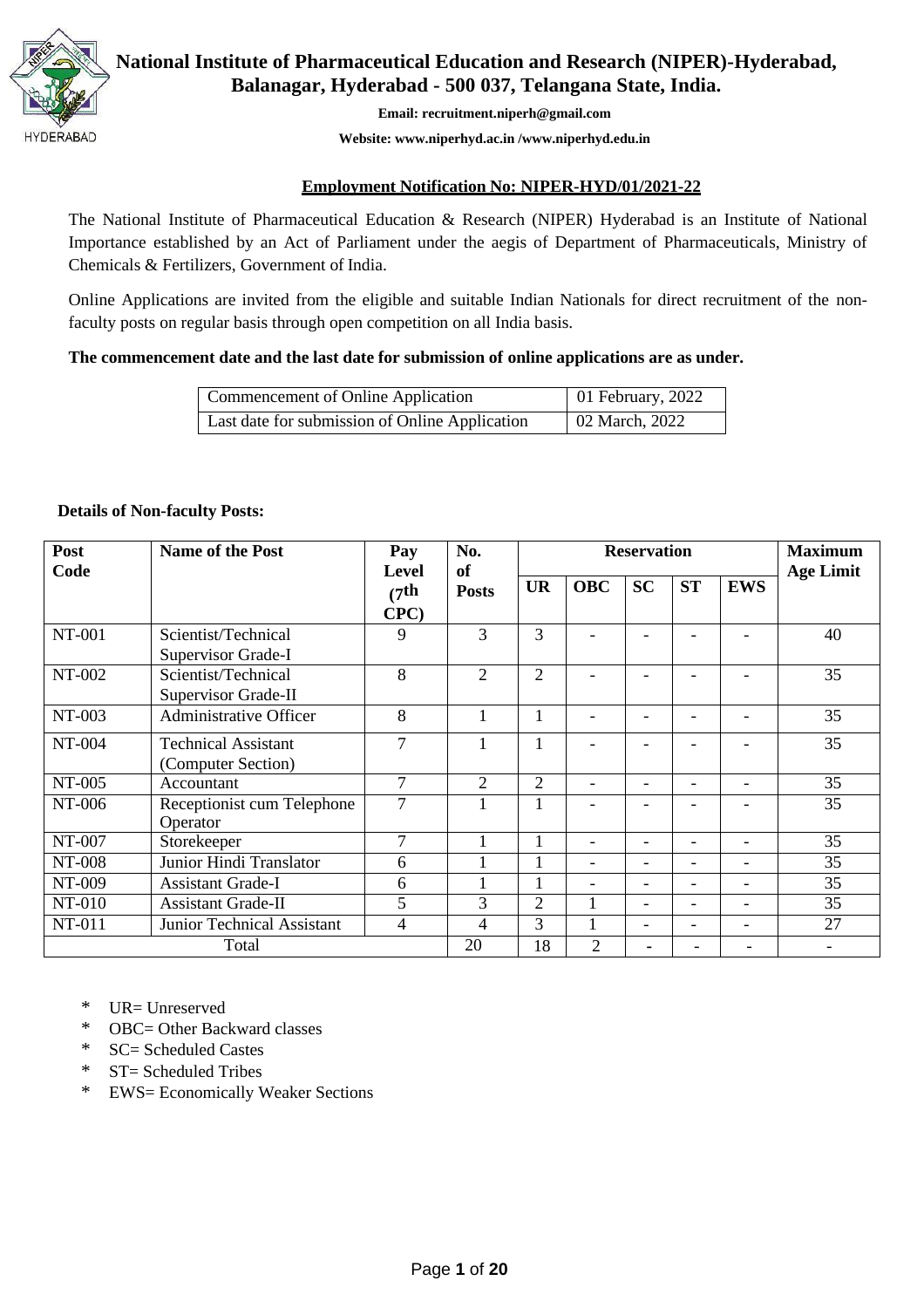

**National Institute of Pharmaceutical Education and Research (NIPER)-Hyderabad, Balanagar, Hyderabad - 500 037, Telangana State, India.**

**Email: [recruitment.niperh@gmail.com](mailto:recruitment.niperh@gmail.com)**

**Website: [www.niperhyd.ac.in](http://www.niperhyd.ac.in/) [/www.niperhyd.edu.in](http://www.niperhyd.edu.in/)**

#### **Employment Notification No: NIPER-HYD/01/2021-22**

The National Institute of Pharmaceutical Education & Research (NIPER) Hyderabad is an Institute of National Importance established by an Act of Parliament under the aegis of Department of Pharmaceuticals, Ministry of Chemicals & Fertilizers, Government of India.

Online Applications are invited from the eligible and suitable Indian Nationals for direct recruitment of the nonfaculty posts on regular basis through open competition on all India basis.

## **The commencement date and the last date for submission of online applications are as under.**

| Commencement of Online Application             | 01 February, 2022 |
|------------------------------------------------|-------------------|
| Last date for submission of Online Application | 02 March, 2022    |

#### **Details of Non-faculty Posts:**

| Post<br>Code  | <b>Name of the Post</b>       | Pay<br>Level       | No.<br>of      |                |                | <b>Reservation</b>       |           |                          | <b>Maximum</b><br><b>Age Limit</b> |
|---------------|-------------------------------|--------------------|----------------|----------------|----------------|--------------------------|-----------|--------------------------|------------------------------------|
|               |                               | (7 <sup>th</sup> ) | <b>Posts</b>   | <b>UR</b>      | <b>OBC</b>     | <b>SC</b>                | <b>ST</b> | <b>EWS</b>               |                                    |
|               |                               | CPC)               |                |                |                |                          |           |                          |                                    |
| NT-001        | Scientist/Technical           | 9                  | 3              | 3              |                |                          |           |                          | 40                                 |
|               | Supervisor Grade-I            |                    |                |                |                |                          |           |                          |                                    |
| NT-002        | Scientist/Technical           | 8                  | $\overline{2}$ | $\overline{2}$ |                |                          |           |                          | 35                                 |
|               | Supervisor Grade-II           |                    |                |                |                |                          |           |                          |                                    |
| NT-003        | <b>Administrative Officer</b> | 8                  |                | $\mathbf{1}$   |                |                          |           |                          | 35                                 |
| NT-004        | <b>Technical Assistant</b>    | 7                  |                |                |                |                          |           |                          | 35                                 |
|               | (Computer Section)            |                    |                |                |                |                          |           |                          |                                    |
| NT-005        | Accountant                    | 7                  | $\overline{2}$ | $\overline{2}$ |                |                          |           |                          | 35                                 |
| NT-006        | Receptionist cum Telephone    | 7                  |                |                |                |                          |           |                          | 35                                 |
|               | Operator                      |                    |                |                |                |                          |           |                          |                                    |
| NT-007        | Storekeeper                   | $\tau$             |                |                | -              | $\overline{\phantom{0}}$ | -         | $\overline{\phantom{0}}$ | 35                                 |
| <b>NT-008</b> | Junior Hindi Translator       | 6                  |                |                | -              |                          | Ξ.        |                          | 35                                 |
| NT-009        | <b>Assistant Grade-I</b>      | 6                  |                |                |                |                          | Ξ.        | $\overline{\phantom{0}}$ | 35                                 |
| NT-010        | <b>Assistant Grade-II</b>     | 5                  | 3              | 2              |                | $\overline{\phantom{0}}$ | -         | $\overline{\phantom{a}}$ | 35                                 |
| NT-011        | Junior Technical Assistant    | 4                  | 4              | 3              |                |                          | -         |                          | 27                                 |
| Total         |                               |                    | 20             | 18             | $\overline{2}$ |                          |           |                          |                                    |

\* UR= Unreserved

\* OBC= Other Backward classes

- \* SC= Scheduled Castes
- \* ST= Scheduled Tribes
- \* EWS= Economically Weaker Sections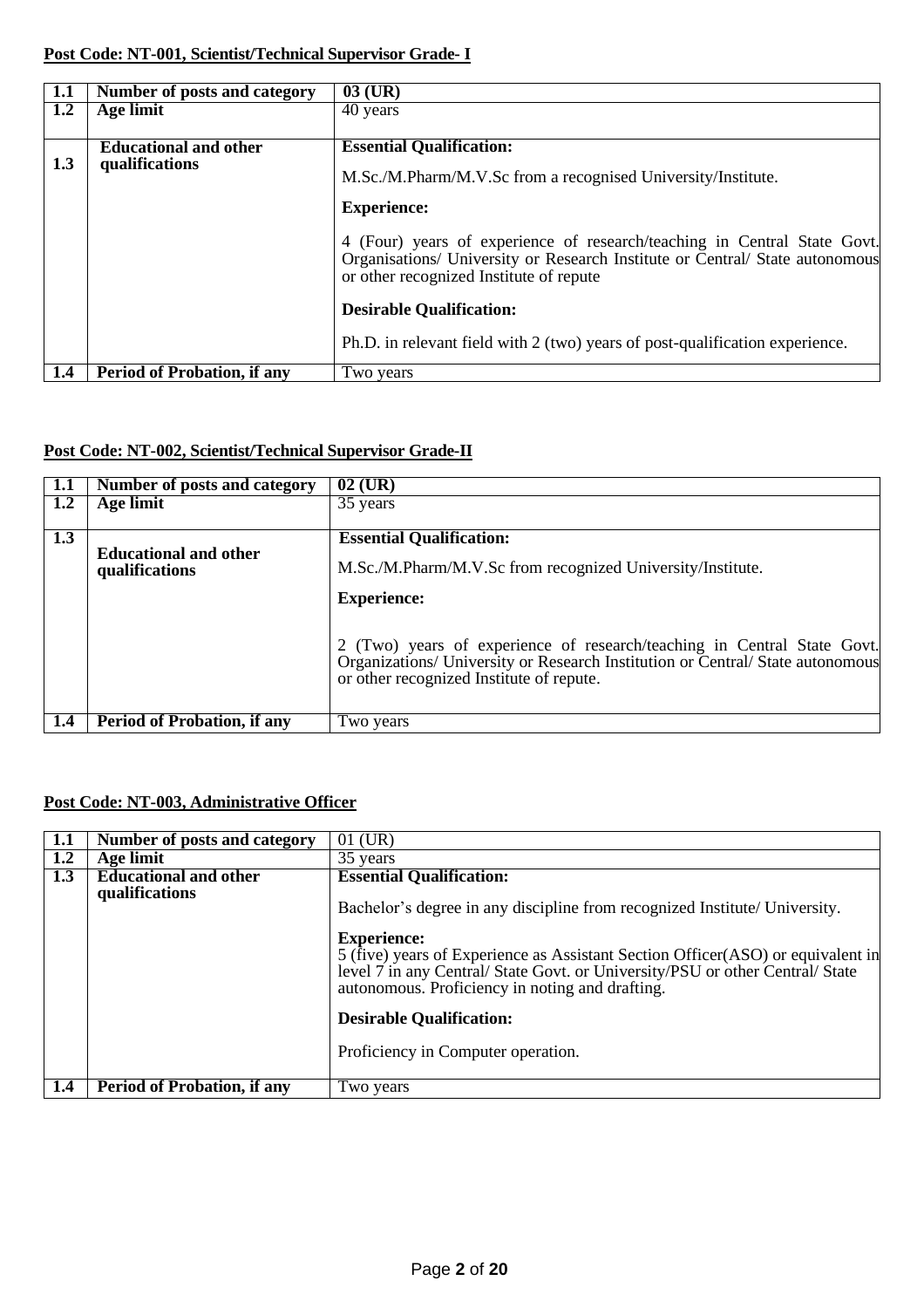| 1.1 | Number of posts and category       | $03$ (UR)                                                                                                                                                                                           |
|-----|------------------------------------|-----------------------------------------------------------------------------------------------------------------------------------------------------------------------------------------------------|
| 1.2 | Age limit                          | 40 years                                                                                                                                                                                            |
|     |                                    |                                                                                                                                                                                                     |
|     | <b>Educational and other</b>       | <b>Essential Qualification:</b>                                                                                                                                                                     |
| 1.3 | qualifications                     | M.Sc./M.Pharm/M.V.Sc from a recognised University/Institute.                                                                                                                                        |
|     |                                    | <b>Experience:</b>                                                                                                                                                                                  |
|     |                                    | 4 (Four) years of experience of research/teaching in Central State Govt.<br>Organisations/ University or Research Institute or Central/ State autonomous<br>or other recognized Institute of repute |
|     |                                    | <b>Desirable Qualification:</b>                                                                                                                                                                     |
|     |                                    | Ph.D. in relevant field with 2 (two) years of post-qualification experience.                                                                                                                        |
| 1.4 | <b>Period of Probation, if any</b> | Two years                                                                                                                                                                                           |

# **Post Code: NT-002, Scientist/Technical Supervisor Grade-II**

| 1.1 | Number of posts and category                   | $02$ (UR)                                                                                                                                                                                             |
|-----|------------------------------------------------|-------------------------------------------------------------------------------------------------------------------------------------------------------------------------------------------------------|
| 1.2 | Age limit                                      | 35 years                                                                                                                                                                                              |
|     |                                                |                                                                                                                                                                                                       |
| 1.3 |                                                | <b>Essential Qualification:</b>                                                                                                                                                                       |
|     | <b>Educational and other</b><br>qualifications | M.Sc./M.Pharm/M.V.Sc from recognized University/Institute.                                                                                                                                            |
|     |                                                | <b>Experience:</b>                                                                                                                                                                                    |
|     |                                                | 2 (Two) years of experience of research/teaching in Central State Govt.<br>Organizations/ University or Research Institution or Central/ State autonomous<br>or other recognized Institute of repute. |
| 1.4 | <b>Period of Probation, if any</b>             | Two years                                                                                                                                                                                             |

# **Post Code: NT-003, Administrative Officer**

| 1.1 | <b>Number</b> of posts and category | $01$ (UR)                                                                                                                                                                                                                                 |
|-----|-------------------------------------|-------------------------------------------------------------------------------------------------------------------------------------------------------------------------------------------------------------------------------------------|
| 1.2 | Age limit                           | 35 years                                                                                                                                                                                                                                  |
| 1.3 | <b>Educational and other</b>        | <b>Essential Qualification:</b>                                                                                                                                                                                                           |
|     | qualifications                      | Bachelor's degree in any discipline from recognized Institute/ University.                                                                                                                                                                |
|     |                                     | <b>Experience:</b><br>5 (five) years of Experience as Assistant Section Officer(ASO) or equivalent in<br>level 7 in any Central/ State Govt. or University/PSU or other Central/ State<br>autonomous. Proficiency in noting and drafting. |
|     |                                     | <b>Desirable Qualification:</b>                                                                                                                                                                                                           |
|     |                                     | Proficiency in Computer operation.                                                                                                                                                                                                        |
| 1.4 | <b>Period of Probation, if any</b>  | Two years                                                                                                                                                                                                                                 |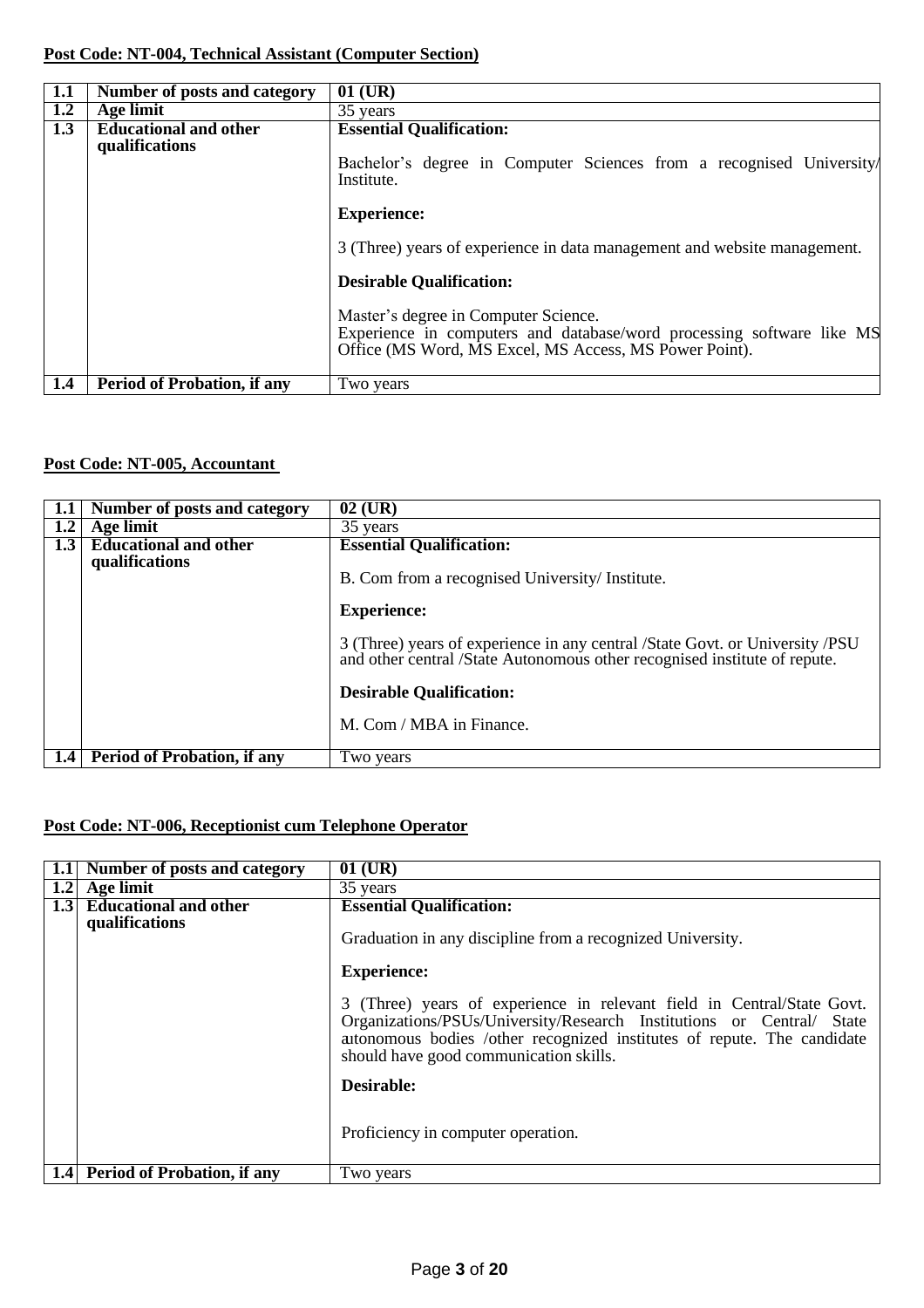# **Post Code: NT-004, Technical Assistant (Computer Section)**

| 1.1 | Number of posts and category                   | $01$ (UR)                                                                                                                                                               |
|-----|------------------------------------------------|-------------------------------------------------------------------------------------------------------------------------------------------------------------------------|
| 1.2 | Age limit                                      | 35 years                                                                                                                                                                |
| 1.3 | <b>Educational and other</b><br>qualifications | <b>Essential Qualification:</b><br>Bachelor's degree in Computer Sciences from a recognised University/<br>Institute.                                                   |
|     |                                                | <b>Experience:</b>                                                                                                                                                      |
|     |                                                | 3 (Three) years of experience in data management and website management.                                                                                                |
|     |                                                | <b>Desirable Qualification:</b>                                                                                                                                         |
|     |                                                | Master's degree in Computer Science.<br>Experience in computers and database/word processing software like MS<br>Office (MS Word, MS Excel, MS Access, MS Power Point). |
| 1.4 | <b>Period of Probation, if any</b>             | Two years                                                                                                                                                               |

# **Post Code: NT-005, Accountant**

|     | Number of posts and category                   | $02$ (UR)                                                                                                                                                 |
|-----|------------------------------------------------|-----------------------------------------------------------------------------------------------------------------------------------------------------------|
| 1.2 | Age limit                                      | 35 years                                                                                                                                                  |
| 1.3 | <b>Educational and other</b><br>qualifications | <b>Essential Qualification:</b><br>B. Com from a recognised University/ Institute.                                                                        |
|     |                                                | <b>Experience:</b>                                                                                                                                        |
|     |                                                | 3 (Three) years of experience in any central /State Govt. or University /PSU<br>and other central /State Autonomous other recognised institute of repute. |
|     |                                                | <b>Desirable Qualification:</b>                                                                                                                           |
|     |                                                | M. Com / MBA in Finance.                                                                                                                                  |
| 1.4 | <b>Period of Probation, if any</b>             | Two years                                                                                                                                                 |

# **Post Code: NT-006, Receptionist cum Telephone Operator**

|                  | Number of posts and category                   | $01$ (UR)                                                                                                                                                                                                                                                            |
|------------------|------------------------------------------------|----------------------------------------------------------------------------------------------------------------------------------------------------------------------------------------------------------------------------------------------------------------------|
| 1.2              | Age limit                                      | 35 years                                                                                                                                                                                                                                                             |
| 1.3 <sub>1</sub> | <b>Educational and other</b><br>qualifications | <b>Essential Qualification:</b>                                                                                                                                                                                                                                      |
|                  |                                                | Graduation in any discipline from a recognized University.                                                                                                                                                                                                           |
|                  |                                                | <b>Experience:</b>                                                                                                                                                                                                                                                   |
|                  |                                                | 3 (Three) years of experience in relevant field in Central/State Govt.<br>Organizations/PSUs/University/Research Institutions or Central/ State<br>attonomous bodies /other recognized institutes of repute. The candidate<br>should have good communication skills. |
|                  |                                                | Desirable:                                                                                                                                                                                                                                                           |
|                  |                                                | Proficiency in computer operation.                                                                                                                                                                                                                                   |
| 1.4              | <b>Period of Probation, if any</b>             | Two years                                                                                                                                                                                                                                                            |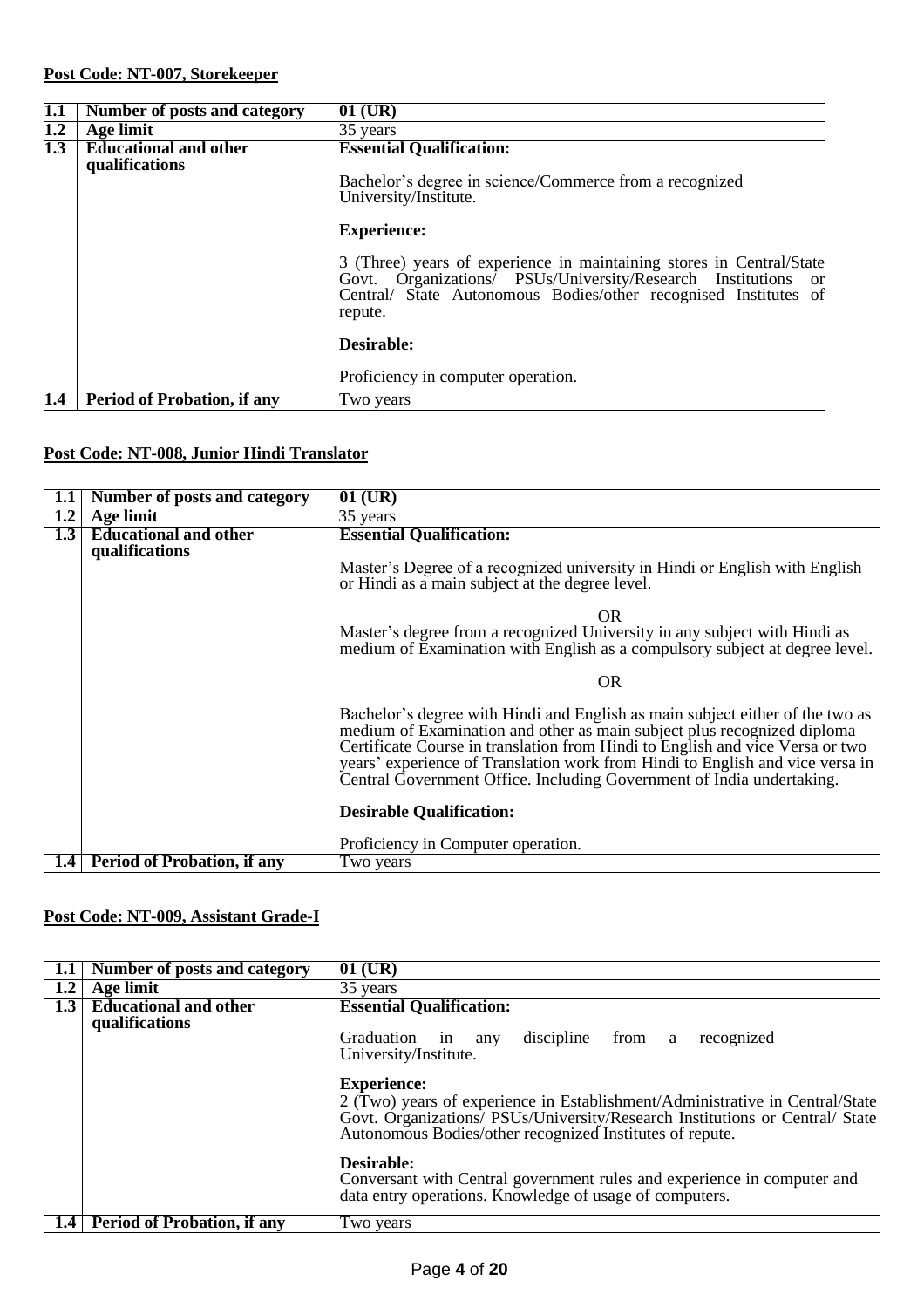# **Post Code: NT-007, Storekeeper**

| 1.1 | Number of posts and category                   | $01$ (UR)                                                                                                                                                                                                           |
|-----|------------------------------------------------|---------------------------------------------------------------------------------------------------------------------------------------------------------------------------------------------------------------------|
| 1.2 | Age limit                                      | 35 years                                                                                                                                                                                                            |
| 1.3 | <b>Educational and other</b><br>qualifications | <b>Essential Qualification:</b><br>Bachelor's degree in science/Commerce from a recognized                                                                                                                          |
|     |                                                | University/Institute.<br><b>Experience:</b>                                                                                                                                                                         |
|     |                                                | 3 (Three) years of experience in maintaining stores in Central/State<br>Govt. Organizations/ PSUs/University/Research Institutions or<br>Central/ State Autonomous Bodies/other recognised Institutes of<br>repute. |
|     |                                                | Desirable:                                                                                                                                                                                                          |
|     |                                                | Proficiency in computer operation.                                                                                                                                                                                  |
| 1.4 | <b>Period of Probation, if any</b>             | Two years                                                                                                                                                                                                           |

## **Post Code: NT-008, Junior Hindi Translator**

| 1.1 | Number of posts and category       | $01$ (UR)                                                                                                                                                                                                                                                                                                                                                                                           |
|-----|------------------------------------|-----------------------------------------------------------------------------------------------------------------------------------------------------------------------------------------------------------------------------------------------------------------------------------------------------------------------------------------------------------------------------------------------------|
| 1.2 | Age limit                          | $\overline{35}$ years                                                                                                                                                                                                                                                                                                                                                                               |
| 1.3 | <b>Educational and other</b>       | <b>Essential Qualification:</b>                                                                                                                                                                                                                                                                                                                                                                     |
|     | qualifications                     |                                                                                                                                                                                                                                                                                                                                                                                                     |
|     |                                    | Master's Degree of a recognized university in Hindi or English with English<br>or Hindi as a main subject at the degree level.                                                                                                                                                                                                                                                                      |
|     |                                    | OR                                                                                                                                                                                                                                                                                                                                                                                                  |
|     |                                    | Master's degree from a recognized University in any subject with Hindi as<br>medium of Examination with English as a compulsory subject at degree level.                                                                                                                                                                                                                                            |
|     |                                    | <b>OR</b>                                                                                                                                                                                                                                                                                                                                                                                           |
|     |                                    | Bachelor's degree with Hindi and English as main subject either of the two as<br>medium of Examination and other as main subject plus recognized diploma<br>Certificate Course in translation from Hindi to English and vice Versa or two<br>years' experience of Translation work from Hindi to English and vice versa in<br>Central Government Office. Including Government of India undertaking. |
|     |                                    | <b>Desirable Qualification:</b>                                                                                                                                                                                                                                                                                                                                                                     |
|     |                                    | Proficiency in Computer operation.                                                                                                                                                                                                                                                                                                                                                                  |
| 1.4 | <b>Period of Probation, if any</b> | Two years                                                                                                                                                                                                                                                                                                                                                                                           |

# **Post Code: NT-009, Assistant Grade-I**

| $1.1\,$ | Number of posts and category                   | $01$ (UR)                                                                                                                                                                                                                                                                                                                                                                                                                                                                                                                 |
|---------|------------------------------------------------|---------------------------------------------------------------------------------------------------------------------------------------------------------------------------------------------------------------------------------------------------------------------------------------------------------------------------------------------------------------------------------------------------------------------------------------------------------------------------------------------------------------------------|
| 1.2     | Age limit                                      | 35 years                                                                                                                                                                                                                                                                                                                                                                                                                                                                                                                  |
| 1.3     | <b>Educational and other</b><br>qualifications | <b>Essential Qualification:</b><br>discipline from a<br>Graduation in<br>recognized<br>any<br>University/Institute.<br><b>Experience:</b><br>2 (Two) years of experience in Establishment/Administrative in Central/State<br>Govt. Organizations/ PSUs/University/Research Institutions or Central/ State<br>Autonomous Bodies/other recognized Institutes of repute.<br>Desirable:<br>Conversant with Central government rules and experience in computer and<br>data entry operations. Knowledge of usage of computers. |
|         | 1.4 Period of Probation, if any                | Two years                                                                                                                                                                                                                                                                                                                                                                                                                                                                                                                 |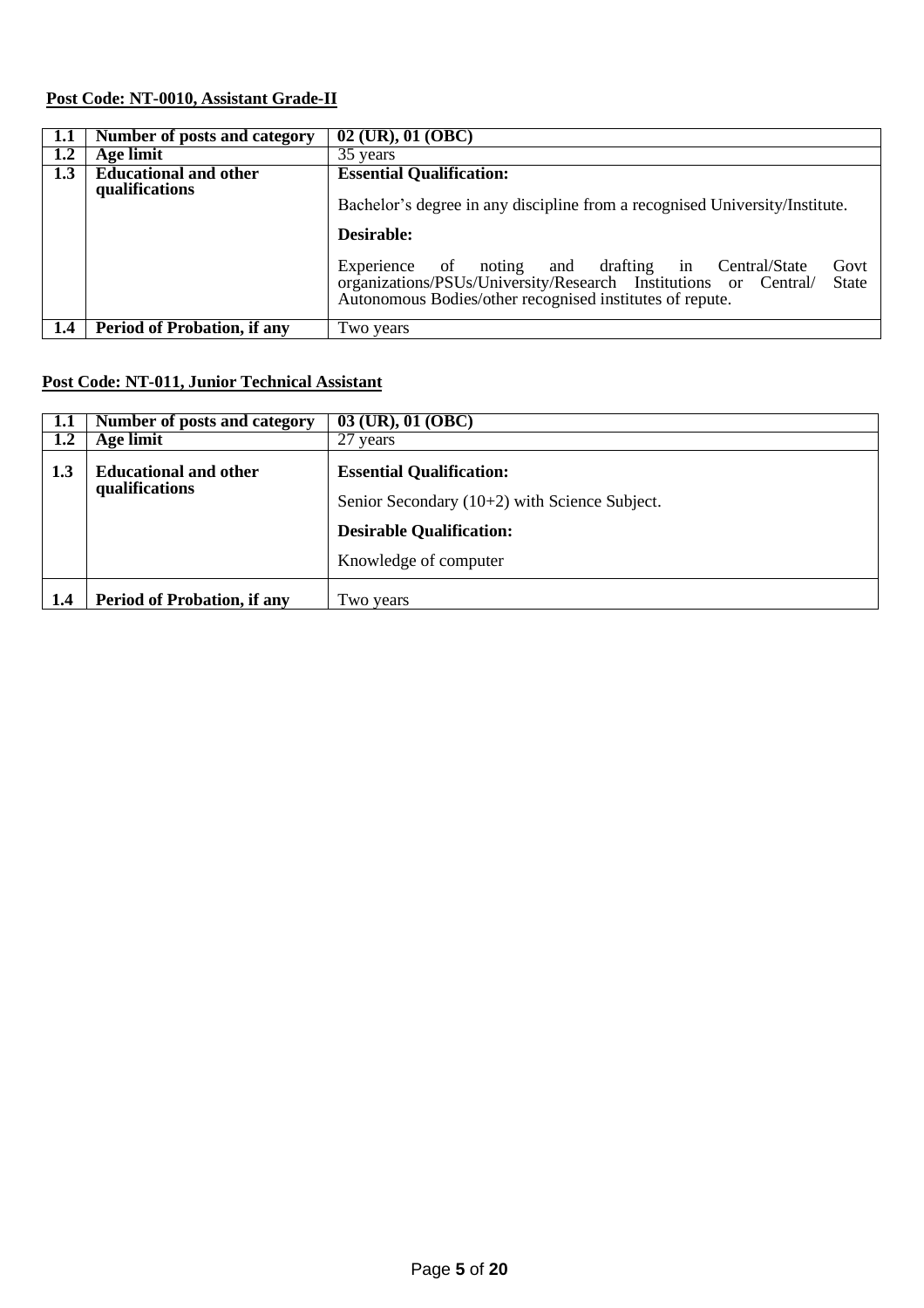# **Post Code: NT-0010, Assistant Grade-II**

| 1.1 | Number of posts and category                   | 02 (UR), 01 (OBC)                                                                                                                                                                                         |
|-----|------------------------------------------------|-----------------------------------------------------------------------------------------------------------------------------------------------------------------------------------------------------------|
| 1.2 | Age limit                                      | 35 years                                                                                                                                                                                                  |
| 1.3 | <b>Educational and other</b><br>qualifications | <b>Essential Qualification:</b><br>Bachelor's degree in any discipline from a recognised University/Institute.<br>Desirable:                                                                              |
|     |                                                | Experience of noting and drafting in Central/State<br>Govt<br>organizations/PSUs/University/Research Institutions or Central/<br><b>State</b><br>Autonomous Bodies/other recognised institutes of repute. |
| 1.4 | <b>Period of Probation, if any</b>             | Two years                                                                                                                                                                                                 |

# **Post Code: NT-011, Junior Technical Assistant**

| 1.1                                                   | Number of posts and category       | 03 (UR), 01 (OBC)                               |  |
|-------------------------------------------------------|------------------------------------|-------------------------------------------------|--|
| 1.2                                                   | Age limit                          | 27<br>years                                     |  |
| 1.3<br><b>Educational and other</b><br>qualifications |                                    | <b>Essential Qualification:</b>                 |  |
|                                                       |                                    | Senior Secondary $(10+2)$ with Science Subject. |  |
|                                                       |                                    | <b>Desirable Qualification:</b>                 |  |
|                                                       |                                    | Knowledge of computer                           |  |
| 1.4                                                   | <b>Period of Probation, if any</b> | Two years                                       |  |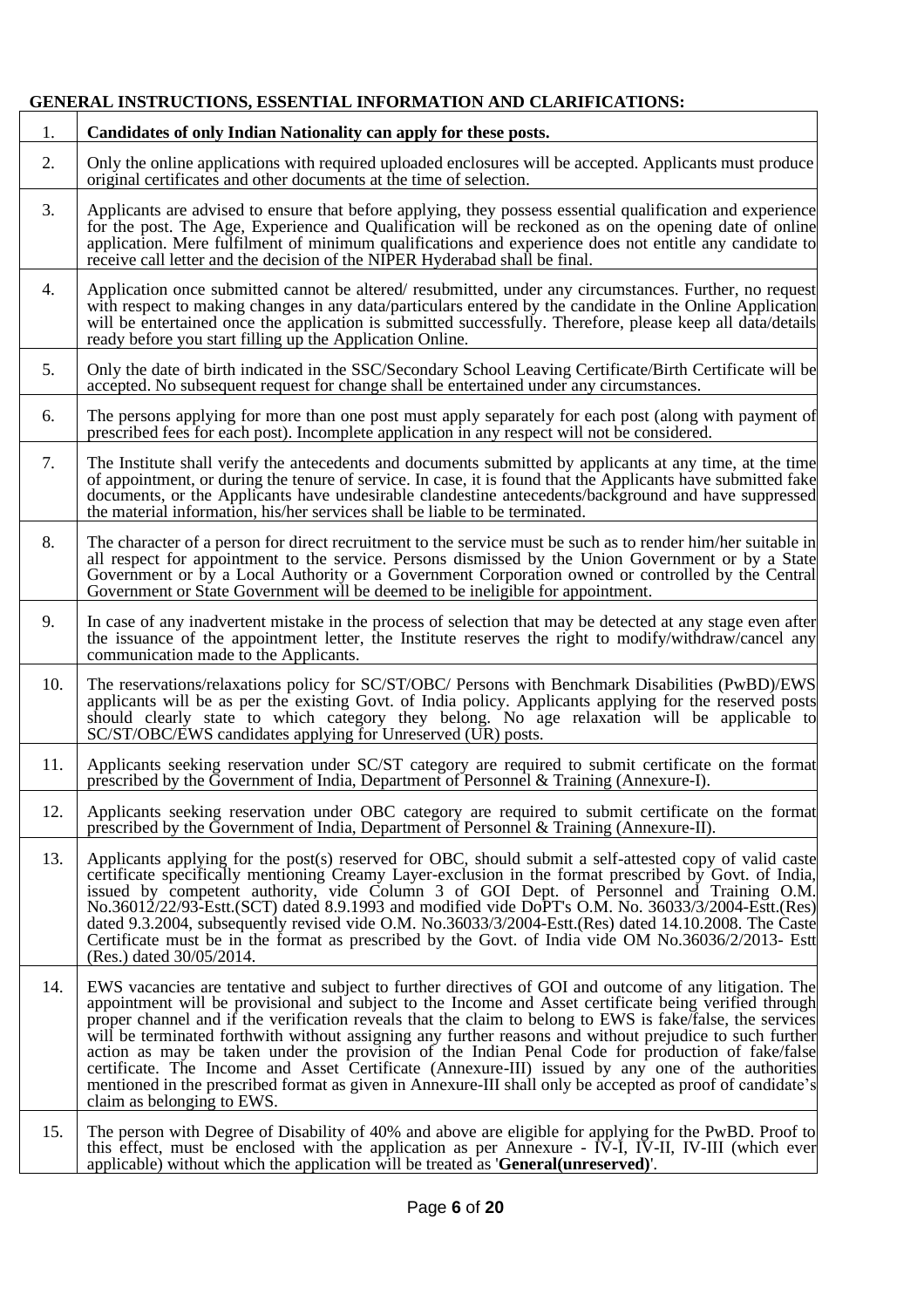# **GENERAL INSTRUCTIONS, ESSENTIAL INFORMATION AND CLARIFICATIONS:**

| 1.  | Candidates of only Indian Nationality can apply for these posts.                                                                                                                                                                                                                                                                                                                                                                                                                                                                                                                                                                                                                                                                                                                                 |  |
|-----|--------------------------------------------------------------------------------------------------------------------------------------------------------------------------------------------------------------------------------------------------------------------------------------------------------------------------------------------------------------------------------------------------------------------------------------------------------------------------------------------------------------------------------------------------------------------------------------------------------------------------------------------------------------------------------------------------------------------------------------------------------------------------------------------------|--|
| 2.  | Only the online applications with required uploaded enclosures will be accepted. Applicants must produce<br>original certificates and other documents at the time of selection.                                                                                                                                                                                                                                                                                                                                                                                                                                                                                                                                                                                                                  |  |
| 3.  | Applicants are advised to ensure that before applying, they possess essential qualification and experience<br>for the post. The Age, Experience and Qualification will be reckoned as on the opening date of online<br>application. Mere fulfilment of minimum qualifications and experience does not entitle any candidate to<br>receive call letter and the decision of the NIPER Hyderabad shall be final.                                                                                                                                                                                                                                                                                                                                                                                    |  |
| 4.  | Application once submitted cannot be altered/ resubmitted, under any circumstances. Further, no request<br>with respect to making changes in any data/particulars entered by the candidate in the Online Application<br>will be entertained once the application is submitted successfully. Therefore, please keep all data/details<br>ready before you start filling up the Application Online.                                                                                                                                                                                                                                                                                                                                                                                                 |  |
| 5.  | Only the date of birth indicated in the SSC/Secondary School Leaving Certificate/Birth Certificate will be<br>accepted. No subsequent request for change shall be entertained under any circumstances.                                                                                                                                                                                                                                                                                                                                                                                                                                                                                                                                                                                           |  |
| 6.  | The persons applying for more than one post must apply separately for each post (along with payment of<br>prescribed fees for each post). Incomplete application in any respect will not be considered.                                                                                                                                                                                                                                                                                                                                                                                                                                                                                                                                                                                          |  |
| 7.  | The Institute shall verify the antecedents and documents submitted by applicants at any time, at the time<br>of appointment, or during the tenure of service. In case, it is found that the Applicants have submitted fake<br>documents, or the Applicants have undesirable clandestine antecedents/background and have suppressed<br>the material information, his/her services shall be liable to be terminated.                                                                                                                                                                                                                                                                                                                                                                               |  |
| 8.  | The character of a person for direct recruitment to the service must be such as to render him/her suitable in<br>all respect for appointment to the service. Persons dismissed by the Union Government or by a State<br>Government or by a Local Authority or a Government Corporation owned or controlled by the Central<br>Government or State Government will be deemed to be ineligible for appointment.                                                                                                                                                                                                                                                                                                                                                                                     |  |
| 9.  | In case of any inadvertent mistake in the process of selection that may be detected at any stage even after<br>the issuance of the appointment letter, the Institute reserves the right to modify/withdraw/cancel any<br>communication made to the Applicants.                                                                                                                                                                                                                                                                                                                                                                                                                                                                                                                                   |  |
| 10. | The reservations/relaxations policy for SC/ST/OBC/ Persons with Benchmark Disabilities (PwBD)/EWS<br>applicants will be as per the existing Govt. of India policy. Applicants applying for the reserved posts<br>should clearly state to which category they belong. No age relaxation will be applicable to<br>SC/ST/OBC/EWS candidates applying for Unreserved (UR) posts.                                                                                                                                                                                                                                                                                                                                                                                                                     |  |
| 11. | Applicants seeking reservation under SC/ST category are required to submit certificate on the format<br>prescribed by the Government of India, Department of Personnel & Training (Annexure-I).                                                                                                                                                                                                                                                                                                                                                                                                                                                                                                                                                                                                  |  |
| 12. | Applicants seeking reservation under OBC category are required to submit certificate on the format<br>prescribed by the Government of India, Department of Personnel & Training (Annexure-II).                                                                                                                                                                                                                                                                                                                                                                                                                                                                                                                                                                                                   |  |
| 13. | Applicants applying for the post(s) reserved for OBC, should submit a self-attested copy of valid caste<br>certificate specifically mentioning Creamy Layer-exclusion in the format prescribed by Govt. of India,<br>issued by competent authority, vide Column 3 of GOI Dept. of Personnel and Training O.M.<br>No.36012/22/93-Estt.(SCT) dated 8.9.1993 and modified vide DoPT's O.M. No. 36033/3/2004-Estt.(Res)<br>dated 9.3.2004, subsequently revised vide O.M. No.36033/3/2004-Estt. (Res) dated 14.10.2008. The Caste<br>Certificate must be in the format as prescribed by the Govt. of India vide OM No.36036/2/2013- Estt<br>(Res.) dated 30/05/2014.                                                                                                                                 |  |
| 14. | EWS vacancies are tentative and subject to further directives of GOI and outcome of any litigation. The<br>appointment will be provisional and subject to the Income and Asset certificate being verified through<br>proper channel and if the verification reveals that the claim to belong to EWS is fake/false, the services<br>will be terminated forthwith without assigning any further reasons and without prejudice to such further<br>action as may be taken under the provision of the Indian Penal Code for production of fake/false<br>certificate. The Income and Asset Certificate (Annexure-III) issued by any one of the authorities<br>mentioned in the prescribed format as given in Annexure-III shall only be accepted as proof of candidate's<br>claim as belonging to EWS. |  |
| 15. | The person with Degree of Disability of 40% and above are eligible for applying for the PwBD. Proof to<br>this effect, must be enclosed with the application as per Annexure - IV-I, IV-II, IV-III (which ever<br>applicable) without which the application will be treated as <b>General</b> (unreserved).                                                                                                                                                                                                                                                                                                                                                                                                                                                                                      |  |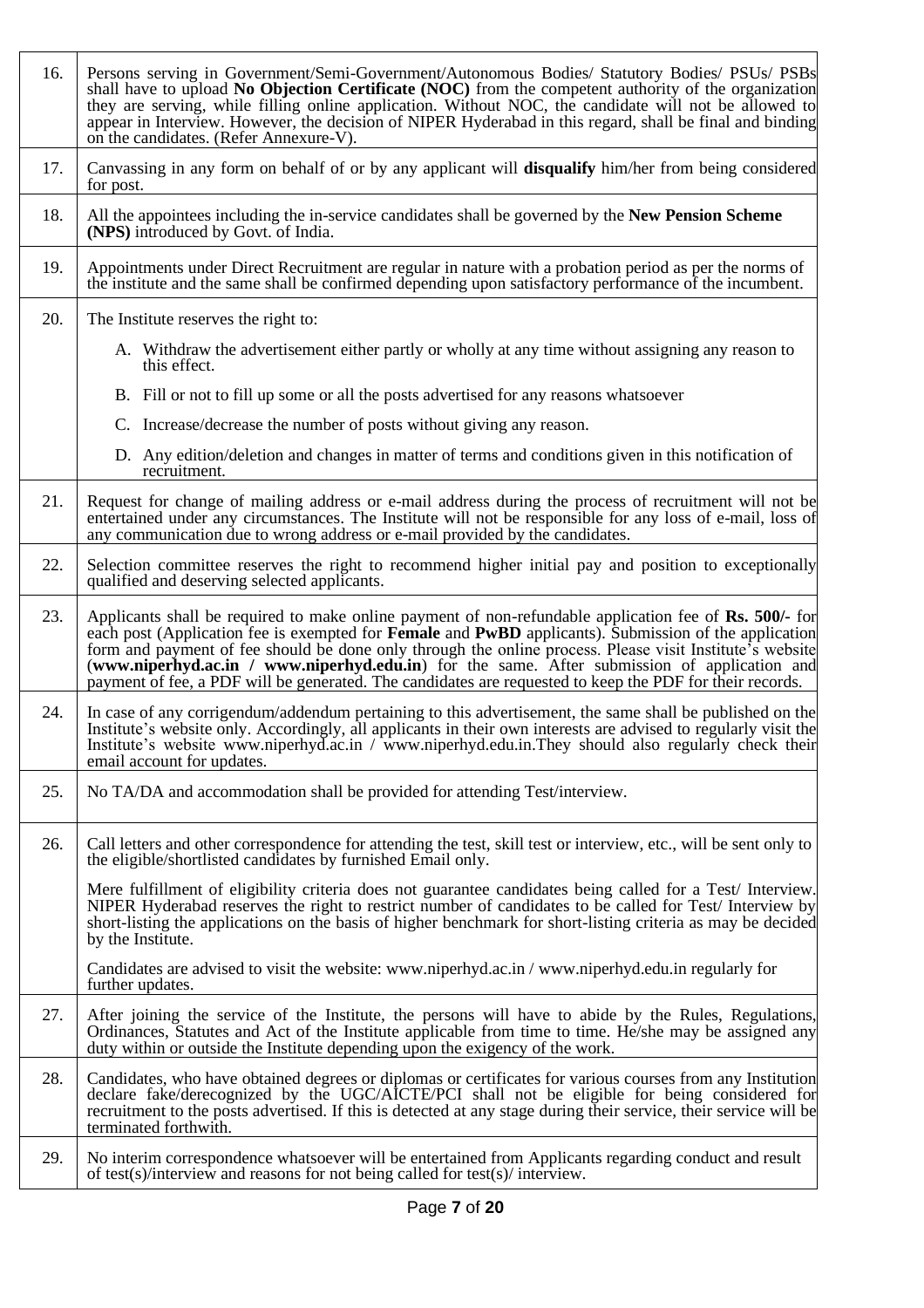| 16. | Persons serving in Government/Semi-Government/Autonomous Bodies/ Statutory Bodies/ PSUs/ PSBs<br>shall have to upload No Objection Certificate (NOC) from the competent authority of the organization<br>they are serving, while filling online application. Without NOC, the candidate will not be allowed to<br>appear in Interview. However, the decision of NIPER Hyderabad in this regard, shall be final and binding<br>on the candidates. (Refer Annexure-V).                                                                    |
|-----|-----------------------------------------------------------------------------------------------------------------------------------------------------------------------------------------------------------------------------------------------------------------------------------------------------------------------------------------------------------------------------------------------------------------------------------------------------------------------------------------------------------------------------------------|
| 17. | Canvassing in any form on behalf of or by any applicant will <b>disqualify</b> him/her from being considered<br>for post.                                                                                                                                                                                                                                                                                                                                                                                                               |
| 18. | All the appointees including the in-service candidates shall be governed by the <b>New Pension Scheme</b><br>(NPS) introduced by Govt. of India.                                                                                                                                                                                                                                                                                                                                                                                        |
| 19. | Appointments under Direct Recruitment are regular in nature with a probation period as per the norms of<br>the institute and the same shall be confirmed depending upon satisfactory performance of the incumbent.                                                                                                                                                                                                                                                                                                                      |
| 20. | The Institute reserves the right to:                                                                                                                                                                                                                                                                                                                                                                                                                                                                                                    |
|     | A. Withdraw the advertisement either partly or wholly at any time without assigning any reason to<br>this effect.                                                                                                                                                                                                                                                                                                                                                                                                                       |
|     | B. Fill or not to fill up some or all the posts advertised for any reasons whatsoever                                                                                                                                                                                                                                                                                                                                                                                                                                                   |
|     | C. Increase/decrease the number of posts without giving any reason.                                                                                                                                                                                                                                                                                                                                                                                                                                                                     |
|     | D. Any edition/deletion and changes in matter of terms and conditions given in this notification of<br>recruitment.                                                                                                                                                                                                                                                                                                                                                                                                                     |
| 21. | Request for change of mailing address or e-mail address during the process of recruitment will not be<br>entertained under any circumstances. The Institute will not be responsible for any loss of e-mail, loss of<br>any communication due to wrong address or e-mail provided by the candidates.                                                                                                                                                                                                                                     |
| 22. | Selection committee reserves the right to recommend higher initial pay and position to exceptionally<br>qualified and deserving selected applicants.                                                                                                                                                                                                                                                                                                                                                                                    |
| 23. | Applicants shall be required to make online payment of non-refundable application fee of Rs. 500/- for<br>each post (Application fee is exempted for Female and PwBD applicants). Submission of the application<br>form and payment of fee should be done only through the online process. Please visit Institute's website<br>(www.niperhyd.ac.in / www.niperhyd.edu.in) for the same. After submission of application and<br>payment of fee, a PDF will be generated. The candidates are requested to keep the PDF for their records. |
| 24. | In case of any corrigendum/addendum pertaining to this advertisement, the same shall be published on the<br>Institute's website only. Accordingly, all applicants in their own interests are advised to regularly visit the<br>Institute's website www.niperhyd.ac.in / www.niperhyd.edu.in.They should also regularly check their<br>email account for updates.                                                                                                                                                                        |
| 25. | No TA/DA and accommodation shall be provided for attending Test/interview.                                                                                                                                                                                                                                                                                                                                                                                                                                                              |
| 26. | Call letters and other correspondence for attending the test, skill test or interview, etc., will be sent only to<br>the eligible/shortlisted candidates by furnished Email only.                                                                                                                                                                                                                                                                                                                                                       |
|     | Mere fulfillment of eligibility criteria does not guarantee candidates being called for a Test/ Interview.<br>NIPER Hyderabad reserves the right to restrict number of candidates to be called for Test/ Interview by<br>short-listing the applications on the basis of higher benchmark for short-listing criteria as may be decided<br>by the Institute.                                                                                                                                                                              |
|     | Candidates are advised to visit the website: www.niperhyd.ac.in / www.niperhyd.edu.in regularly for<br>further updates.                                                                                                                                                                                                                                                                                                                                                                                                                 |
| 27. | After joining the service of the Institute, the persons will have to abide by the Rules, Regulations,<br>Ordinances, Statutes and Act of the Institute applicable from time to time. He/she may be assigned any<br>duty within or outside the Institute depending upon the exigency of the work.                                                                                                                                                                                                                                        |
| 28. | Candidates, who have obtained degrees or diplomas or certificates for various courses from any Institution<br>declare fake/derecognized by the UGC/AlCTE/PCI shall not be eligible for being considered for<br>recruitment to the posts advertised. If this is detected at any stage during their service, their service will be<br>terminated forthwith.                                                                                                                                                                               |
| 29. | No interim correspondence whatsoever will be entertained from Applicants regarding conduct and result<br>of test(s)/interview and reasons for not being called for test(s)/interview.                                                                                                                                                                                                                                                                                                                                                   |
|     |                                                                                                                                                                                                                                                                                                                                                                                                                                                                                                                                         |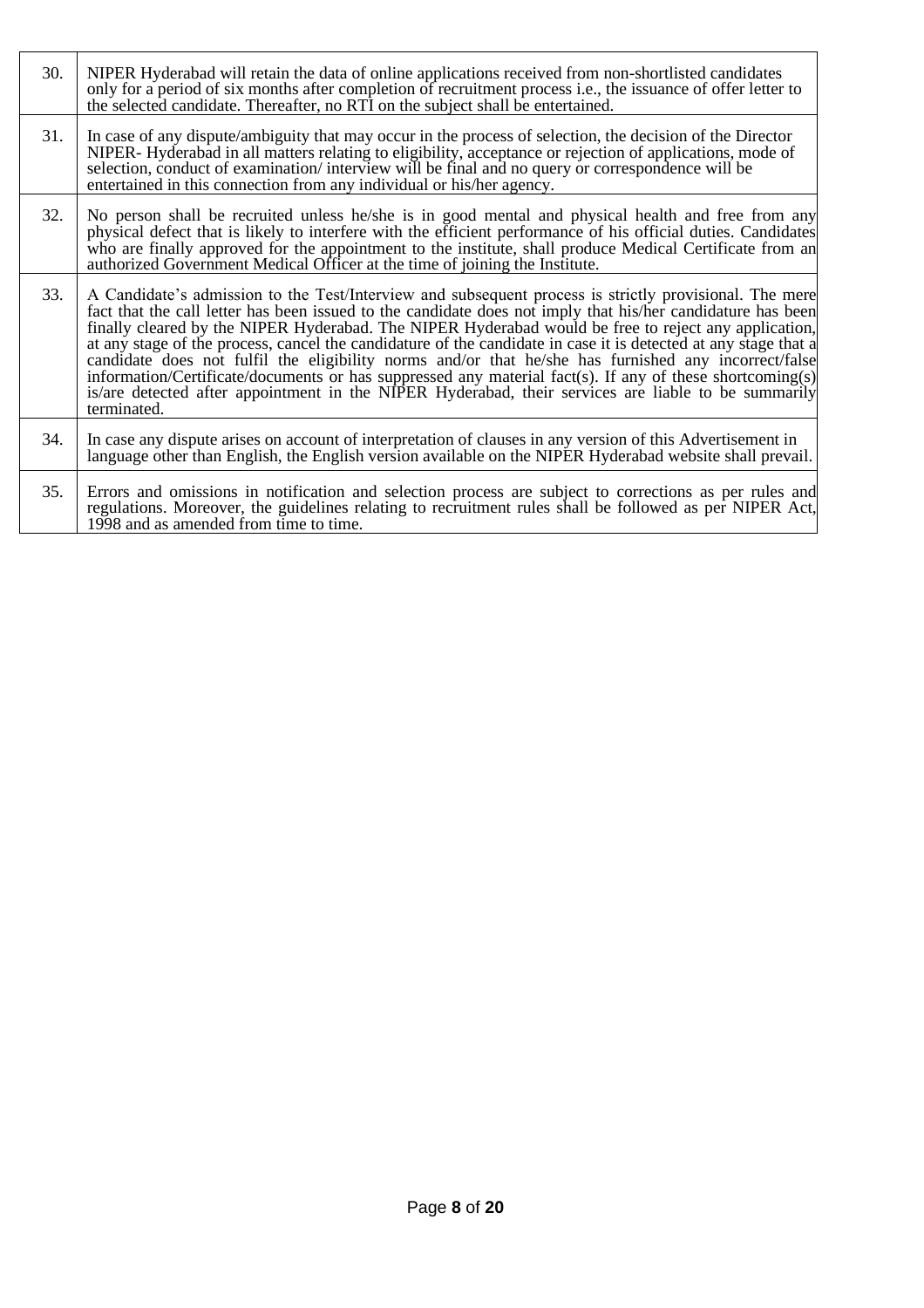| 30. | NIPER Hyderabad will retain the data of online applications received from non-shortlisted candidates<br>only for a period of six months after completion of recruitment process <i>i.e.</i> , the issuance of offer letter to<br>the selected candidate. Thereafter, no RTI on the subject shall be entertained.                                                                                                                                                                                                                                                                                                                                                                                                                                                                           |
|-----|--------------------------------------------------------------------------------------------------------------------------------------------------------------------------------------------------------------------------------------------------------------------------------------------------------------------------------------------------------------------------------------------------------------------------------------------------------------------------------------------------------------------------------------------------------------------------------------------------------------------------------------------------------------------------------------------------------------------------------------------------------------------------------------------|
| 31. | In case of any dispute/ambiguity that may occur in the process of selection, the decision of the Director<br>NIPER-Hyderabad in all matters relating to eligibility, acceptance or rejection of applications, mode of<br>selection, conduct of examination/interview will be final and no query or correspondence will be<br>entertained in this connection from any individual or his/her agency.                                                                                                                                                                                                                                                                                                                                                                                         |
| 32. | No person shall be recruited unless he/she is in good mental and physical health and free from any<br>physical defect that is likely to interfere with the efficient performance of his official duties. Candidates<br>who are finally approved for the appointment to the institute, shall produce Medical Certificate from an<br>authorized Government Medical Officer at the time of joining the Institute.                                                                                                                                                                                                                                                                                                                                                                             |
| 33. | A Candidate's admission to the Test/Interview and subsequent process is strictly provisional. The mere<br>fact that the call letter has been issued to the candidate does not imply that his/her candidature has been<br>finally cleared by the NIPER Hyderabad. The NIPER Hyderabad would be free to reject any application,<br>at any stage of the process, cancel the candidature of the candidate in case it is detected at any stage that a<br>candidate does not fulfil the eligibility norms and/or that he/she has furnished any incorrect/false<br>information/Certificate/documents or has suppressed any material fact(s). If any of these shortcoming(s)<br>is/are detected after appointment in the NIPER Hyderabad, their services are liable to be summarily<br>terminated. |
| 34. | In case any dispute arises on account of interpretation of clauses in any version of this Advertisement in<br>language other than English, the English version available on the NIPER Hyderabad website shall prevail.                                                                                                                                                                                                                                                                                                                                                                                                                                                                                                                                                                     |
| 35. | Errors and omissions in notification and selection process are subject to corrections as per rules and<br>regulations. Moreover, the guidelines relating to recruitment rules shall be followed as per NIPER Act,<br>1998 and as amended from time to time.                                                                                                                                                                                                                                                                                                                                                                                                                                                                                                                                |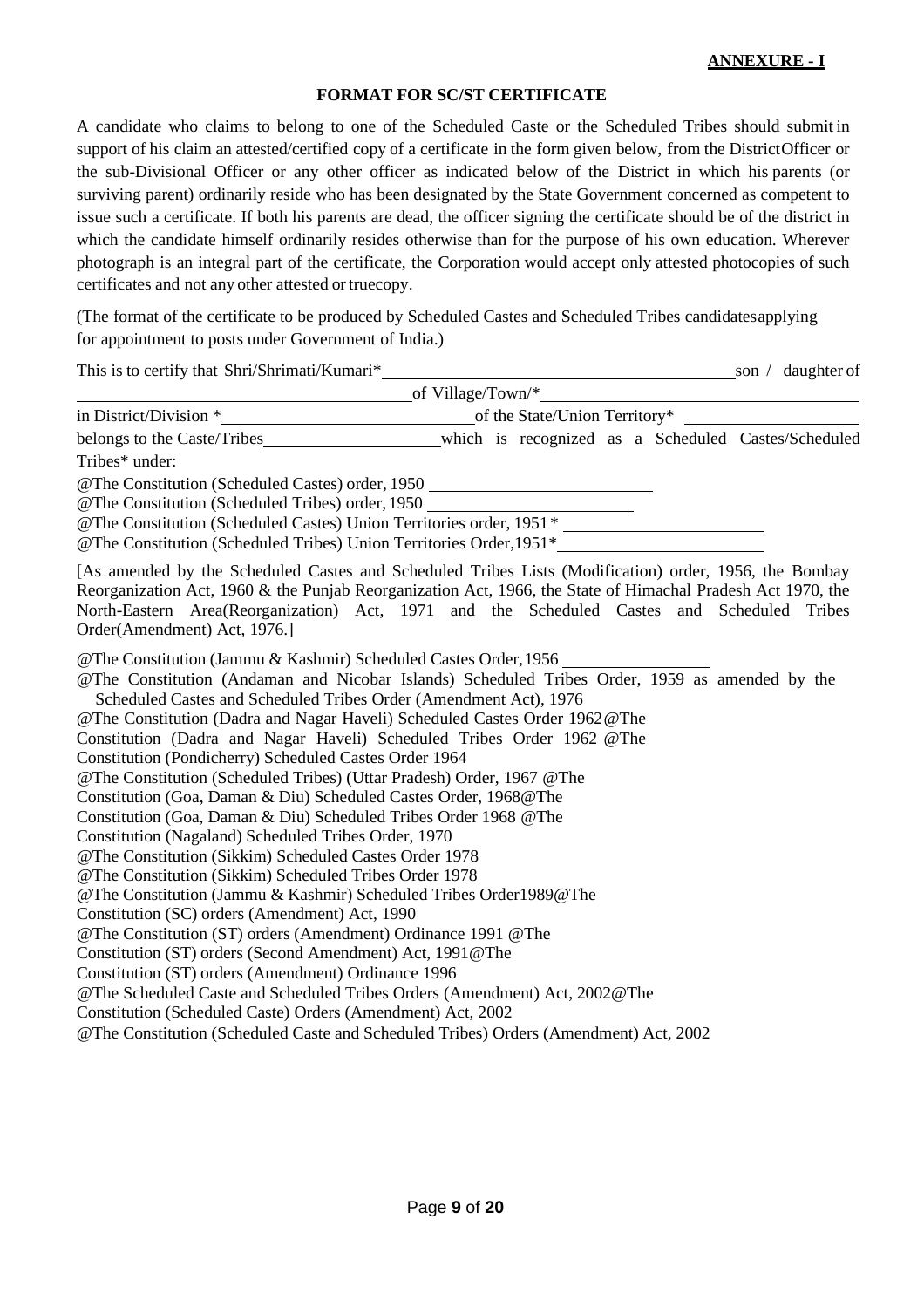#### **FORMAT FOR SC/ST CERTIFICATE**

A candidate who claims to belong to one of the Scheduled Caste or the Scheduled Tribes should submit in support of his claim an attested/certified copy of a certificate in the form given below, from the DistrictOfficer or the sub-Divisional Officer or any other officer as indicated below of the District in which his parents (or surviving parent) ordinarily reside who has been designated by the State Government concerned as competent to issue such a certificate. If both his parents are dead, the officer signing the certificate should be of the district in which the candidate himself ordinarily resides otherwise than for the purpose of his own education. Wherever photograph is an integral part of the certificate, the Corporation would accept only attested photocopies of such certificates and not any other attested or truecopy.

(The format of the certificate to be produced by Scheduled Castes and Scheduled Tribes candidatesapplying for appointment to posts under Government of India.)

This is to certify that Shri/Shrimati/Kumari\* son / daughter of son / daughter of of Village/Town/\* in District/Division \* of the State/Union Territory\* belongs to the Caste/Tribes\_\_\_\_\_\_\_\_\_\_\_\_\_\_\_\_\_\_\_\_\_\_\_which is recognized as a Scheduled Castes/Scheduled Tribes\* under: @The Constitution (Scheduled Castes) order, 1950 @The Constitution (Scheduled Tribes) order, 1950 @The Constitution (Scheduled Castes) Union Territories order, 1951\* @The Constitution (Scheduled Tribes) Union Territories Order,1951\* [As amended by the Scheduled Castes and Scheduled Tribes Lists (Modification) order, 1956, the Bombay Reorganization Act, 1960 & the Punjab Reorganization Act, 1966, the State of Himachal Pradesh Act 1970, the North-Eastern Area(Reorganization) Act, 1971 and the Scheduled Castes and Scheduled Tribes Order(Amendment) Act, 1976.] @The Constitution (Jammu & Kashmir) Scheduled Castes Order,1956 @The Constitution (Andaman and Nicobar Islands) Scheduled Tribes Order, 1959 as amended by the Scheduled Castes and Scheduled Tribes Order (Amendment Act), 1976 @The Constitution (Dadra and Nagar Haveli) Scheduled Castes Order 1962@The Constitution (Dadra and Nagar Haveli) Scheduled Tribes Order 1962 @The Constitution (Pondicherry) Scheduled Castes Order 1964 @The Constitution (Scheduled Tribes) (Uttar Pradesh) Order, 1967 @The Constitution (Goa, Daman & Diu) Scheduled Castes Order, 1968@The Constitution (Goa, Daman & Diu) Scheduled Tribes Order 1968 @The Constitution (Nagaland) Scheduled Tribes Order, 1970 @The Constitution (Sikkim) Scheduled Castes Order 1978 @The Constitution (Sikkim) Scheduled Tribes Order 1978 @The Constitution (Jammu & Kashmir) Scheduled Tribes Order1989@The Constitution (SC) orders (Amendment) Act, 1990 @The Constitution (ST) orders (Amendment) Ordinance 1991 @The Constitution (ST) orders (Second Amendment) Act, 1991@The Constitution (ST) orders (Amendment) Ordinance 1996 @The Scheduled Caste and Scheduled Tribes Orders (Amendment) Act, 2002@The Constitution (Scheduled Caste) Orders (Amendment) Act, 2002 @The Constitution (Scheduled Caste and Scheduled Tribes) Orders (Amendment) Act, 2002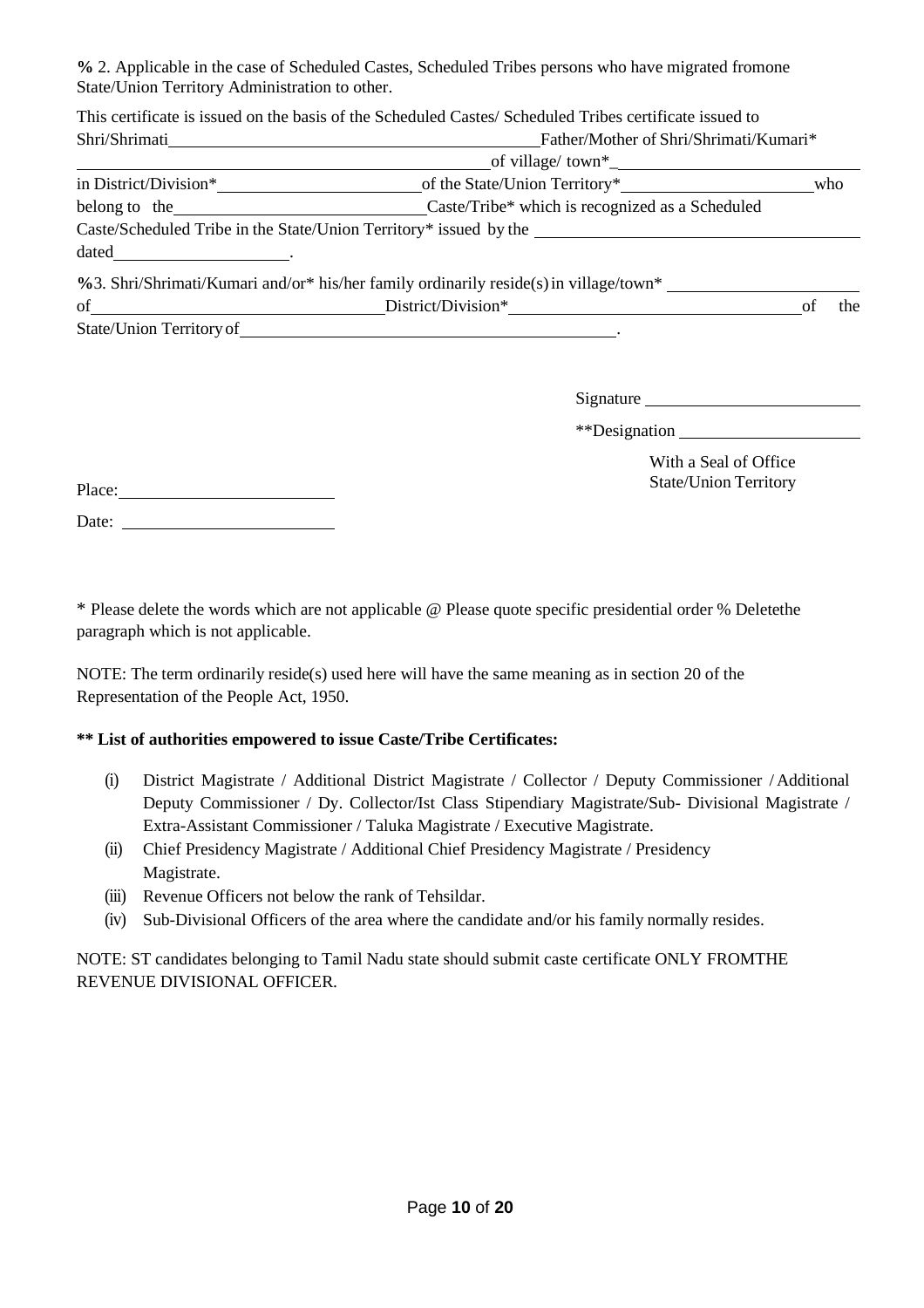**%** 2. Applicable in the case of Scheduled Castes, Scheduled Tribes persons who have migrated fromone State/Union Territory Administration to other.

|                                                               | This certificate is issued on the basis of the Scheduled Castes/Scheduled Tribes certificate issued to |  |     |
|---------------------------------------------------------------|--------------------------------------------------------------------------------------------------------|--|-----|
|                                                               |                                                                                                        |  |     |
|                                                               |                                                                                                        |  |     |
|                                                               |                                                                                                        |  |     |
| belong to the Caste/Tribe* which is recognized as a Scheduled |                                                                                                        |  |     |
|                                                               |                                                                                                        |  |     |
| $data$ $\qquad$                                               |                                                                                                        |  |     |
|                                                               | $\%$ 3. Shri/Shrimati/Kumari and/or* his/her family ordinarily reside(s) in village/town*              |  |     |
|                                                               |                                                                                                        |  | the |
|                                                               |                                                                                                        |  |     |
|                                                               |                                                                                                        |  |     |
|                                                               |                                                                                                        |  |     |

Signature Signature Signature Signature Signature Signature Signature Signature Signature Signature Signature Signature Signature Signature Signature Signature Signature Signature Signature Signature Signature Signature Si

\*\*Designation

| With a Seal of Office        |
|------------------------------|
| <b>State/Union Territory</b> |

| Place: |  |  |  |
|--------|--|--|--|
|        |  |  |  |

Date:

\* Please delete the words which are not applicable @ Please quote specific presidential order % Deletethe paragraph which is not applicable.

NOTE: The term ordinarily reside(s) used here will have the same meaning as in section 20 of the Representation of the People Act, 1950.

# **\*\* List of authorities empowered to issue Caste/Tribe Certificates:**

- (i) District Magistrate / Additional District Magistrate / Collector / Deputy Commissioner / Additional Deputy Commissioner / Dy. Collector/Ist Class Stipendiary Magistrate/Sub- Divisional Magistrate / Extra-Assistant Commissioner / Taluka Magistrate / Executive Magistrate.
- (ii) Chief Presidency Magistrate / Additional Chief Presidency Magistrate / Presidency Magistrate.
- (iii) Revenue Officers not below the rank of Tehsildar.
- (iv) Sub-Divisional Officers of the area where the candidate and/or his family normally resides.

NOTE: ST candidates belonging to Tamil Nadu state should submit caste certificate ONLY FROMTHE REVENUE DIVISIONAL OFFICER.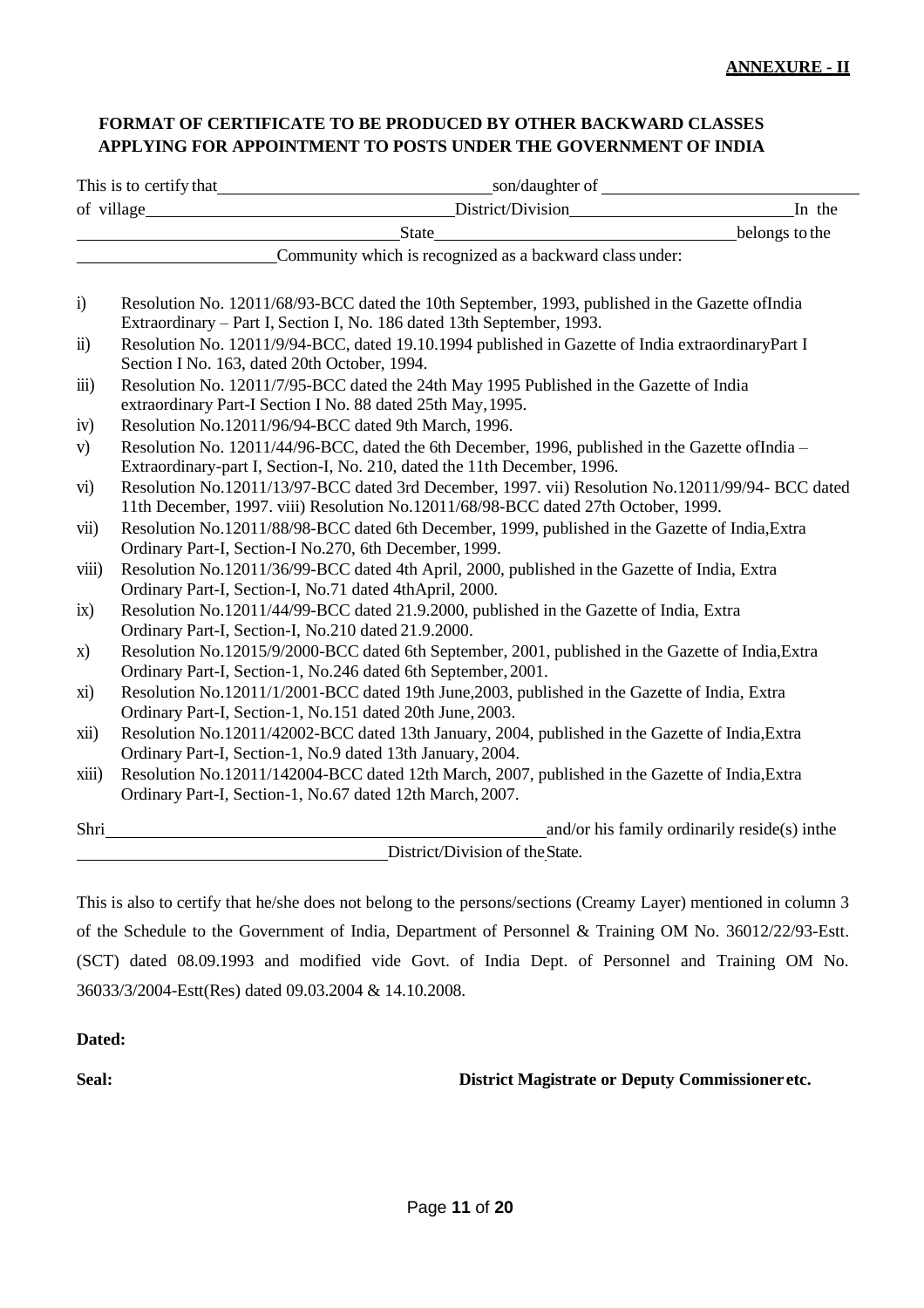# **FORMAT OF CERTIFICATE TO BE PRODUCED BY OTHER BACKWARD CLASSES APPLYING FOR APPOINTMENT TO POSTS UNDER THE GOVERNMENT OF INDIA**

|                    |                                                                                                                                                                                         | State State State State State State State State State State State State State State State State State State State State State State State State State State State State State State State State State State State State State | belongs to the                                |  |  |
|--------------------|-----------------------------------------------------------------------------------------------------------------------------------------------------------------------------------------|-------------------------------------------------------------------------------------------------------------------------------------------------------------------------------------------------------------------------------|-----------------------------------------------|--|--|
|                    |                                                                                                                                                                                         | Community which is recognized as a backward class under:                                                                                                                                                                      |                                               |  |  |
| $\ddot{1}$         |                                                                                                                                                                                         | Resolution No. 12011/68/93-BCC dated the 10th September, 1993, published in the Gazette ofIndia<br>Extraordinary - Part I, Section I, No. 186 dated 13th September, 1993.                                                     |                                               |  |  |
| $\ddot{\text{1}}$  | Section I No. 163, dated 20th October, 1994.                                                                                                                                            | Resolution No. 12011/9/94-BCC, dated 19.10.1994 published in Gazette of India extraordinaryPart I                                                                                                                             |                                               |  |  |
| $\overline{111}$ ) |                                                                                                                                                                                         | Resolution No. 12011/7/95-BCC dated the 24th May 1995 Published in the Gazette of India<br>extraordinary Part-I Section I No. 88 dated 25th May, 1995.                                                                        |                                               |  |  |
| iv)                |                                                                                                                                                                                         | Resolution No.12011/96/94-BCC dated 9th March, 1996.                                                                                                                                                                          |                                               |  |  |
| V)                 | Resolution No. 12011/44/96-BCC, dated the 6th December, 1996, published in the Gazette ofIndia -<br>Extraordinary-part I, Section-I, No. 210, dated the 11th December, 1996.            |                                                                                                                                                                                                                               |                                               |  |  |
| $\mathbf{vi})$     | Resolution No.12011/13/97-BCC dated 3rd December, 1997. vii) Resolution No.12011/99/94- BCC dated<br>11th December, 1997. viii) Resolution No.12011/68/98-BCC dated 27th October, 1999. |                                                                                                                                                                                                                               |                                               |  |  |
| vii)               | Resolution No.12011/88/98-BCC dated 6th December, 1999, published in the Gazette of India, Extra<br>Ordinary Part-I, Section-I No.270, 6th December, 1999.                              |                                                                                                                                                                                                                               |                                               |  |  |
| viii)              |                                                                                                                                                                                         | Resolution No.12011/36/99-BCC dated 4th April, 2000, published in the Gazette of India, Extra<br>Ordinary Part-I, Section-I, No.71 dated 4thApril, 2000.                                                                      |                                               |  |  |
| ix)                | Ordinary Part-I, Section-I, No.210 dated 21.9.2000.                                                                                                                                     | Resolution No.12011/44/99-BCC dated 21.9.2000, published in the Gazette of India, Extra                                                                                                                                       |                                               |  |  |
| X)                 | Resolution No.12015/9/2000-BCC dated 6th September, 2001, published in the Gazette of India, Extra<br>Ordinary Part-I, Section-1, No.246 dated 6th September, 2001.                     |                                                                                                                                                                                                                               |                                               |  |  |
| xi)                |                                                                                                                                                                                         | Resolution No.12011/1/2001-BCC dated 19th June, 2003, published in the Gazette of India, Extra<br>Ordinary Part-I, Section-1, No.151 dated 20th June, 2003.                                                                   |                                               |  |  |
| xii)               | Resolution No.12011/42002-BCC dated 13th January, 2004, published in the Gazette of India, Extra<br>Ordinary Part-I, Section-1, No.9 dated 13th January, 2004.                          |                                                                                                                                                                                                                               |                                               |  |  |
| xiii)              | Resolution No.12011/142004-BCC dated 12th March, 2007, published in the Gazette of India, Extra<br>Ordinary Part-I, Section-1, No.67 dated 12th March, 2007.                            |                                                                                                                                                                                                                               |                                               |  |  |
| Shri               |                                                                                                                                                                                         |                                                                                                                                                                                                                               | and/or his family ordinarily reside(s) in the |  |  |
|                    |                                                                                                                                                                                         | District/Division of the State.                                                                                                                                                                                               |                                               |  |  |

This is also to certify that he/she does not belong to the persons/sections (Creamy Layer) mentioned in column 3 of the Schedule to the Government of India, Department of Personnel & Training OM No. 36012/22/93-Estt. (SCT) dated 08.09.1993 and modified vide Govt. of India Dept. of Personnel and Training OM No. 36033/3/2004-Estt(Res) dated 09.03.2004 & 14.10.2008.

#### **Dated:**

**Seal: District Magistrate or Deputy Commissioner etc.**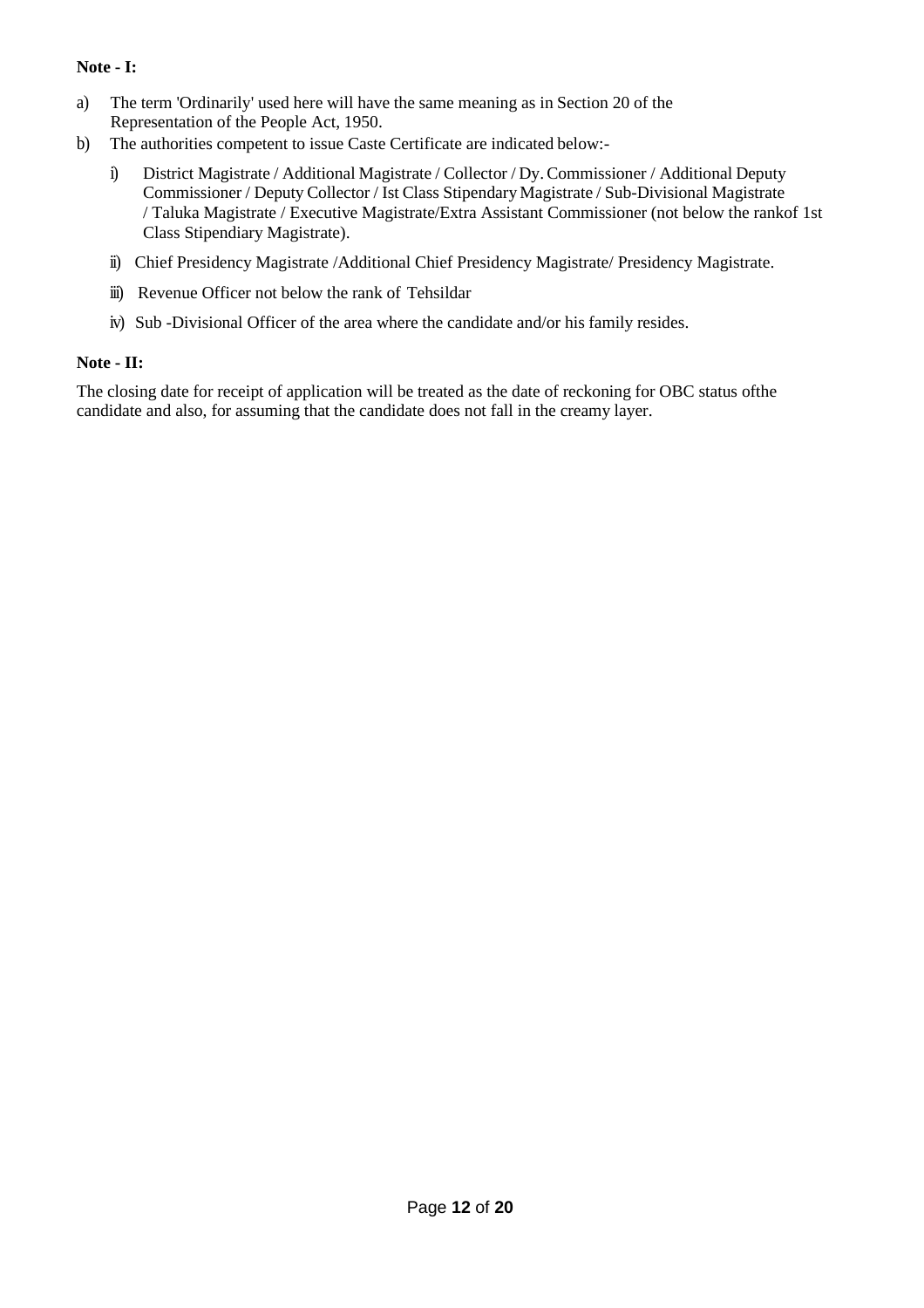# **Note - I:**

- a) The term 'Ordinarily' used here will have the same meaning as in Section 20 of the Representation of the People Act, 1950.
- b) The authorities competent to issue Caste Certificate are indicated below:
	- i) District Magistrate / Additional Magistrate / Collector / Dy.Commissioner / Additional Deputy Commissioner / Deputy Collector / Ist Class Stipendary Magistrate / Sub-Divisional Magistrate / Taluka Magistrate / Executive Magistrate/Extra Assistant Commissioner (not below the rankof 1st Class Stipendiary Magistrate).
	- ii) Chief Presidency Magistrate /Additional Chief Presidency Magistrate/ Presidency Magistrate.
	- iii) Revenue Officer not below the rank of Tehsildar
	- iv) Sub -Divisional Officer of the area where the candidate and/or his family resides.

## **Note - II:**

The closing date for receipt of application will be treated as the date of reckoning for OBC status ofthe candidate and also, for assuming that the candidate does not fall in the creamy layer.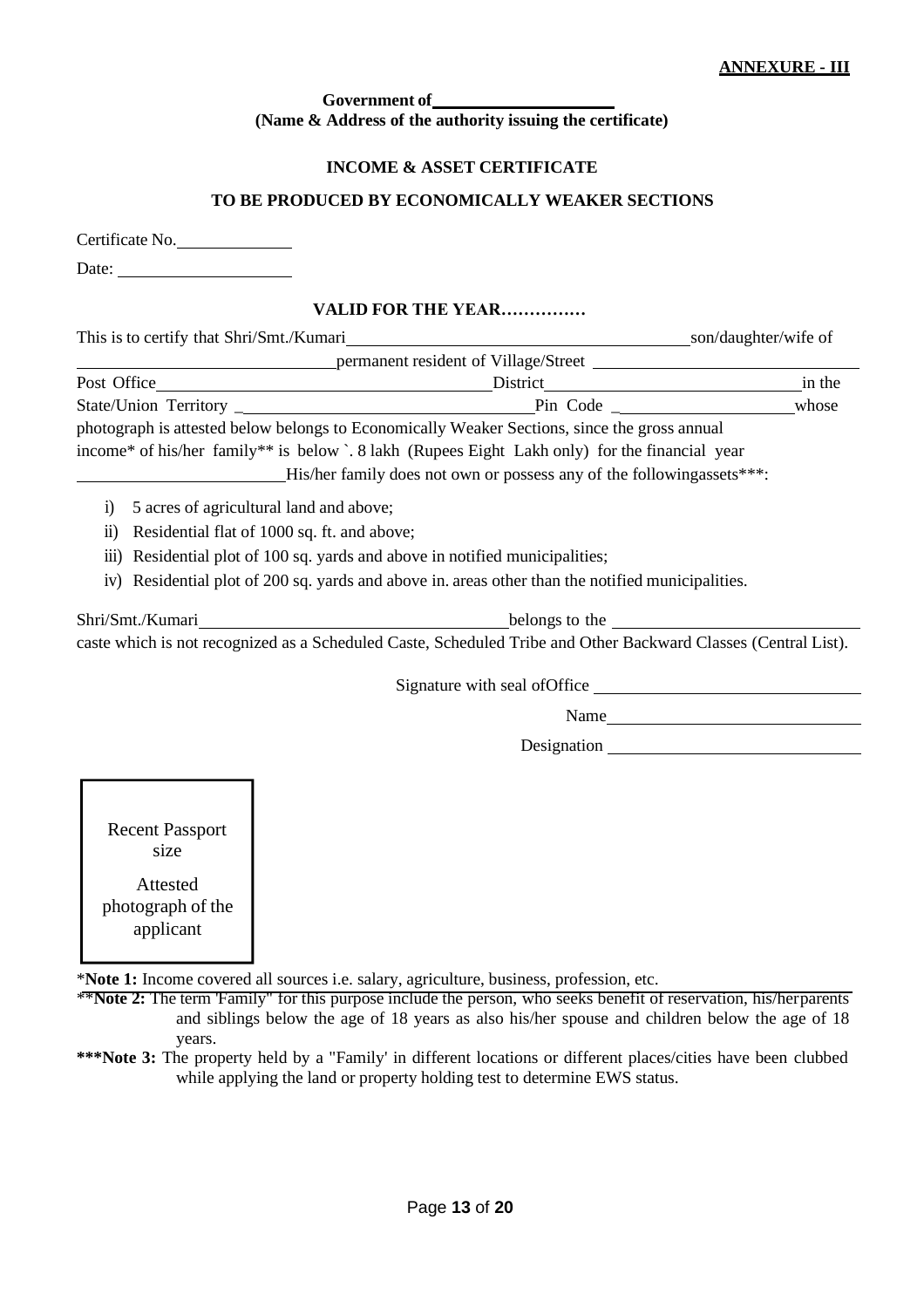#### **Government of (Name & Address of the authority issuing the certificate)**

## **INCOME & ASSET CERTIFICATE**

## **TO BE PRODUCED BY ECONOMICALLY WEAKER SECTIONS**

| Certificate No. |
|-----------------|
|-----------------|

Date:

## **VALID FOR THE YEAR……………**

| This is to certify that Shri/Smt./Kumari | son/daughter/wife of |
|------------------------------------------|----------------------|
|------------------------------------------|----------------------|

| permanent resident of Village/Street |                                                                                                |        |
|--------------------------------------|------------------------------------------------------------------------------------------------|--------|
| Post Office                          | District                                                                                       | in the |
| State/Union Territory                | Pin Code                                                                                       | whose  |
|                                      | photograph is attested below belongs to Economically Weaker Sections, since the gross annual   |        |
|                                      | income* of his/her family** is below `. 8 lakh (Rupees Eight Lakh only) for the financial year |        |
|                                      | His/her family does not own or possess any of the following assets ***:                        |        |

- i) 5 acres of agricultural land and above;
- ii) Residential flat of 1000 sq. ft. and above;
- iii) Residential plot of 100 sq. yards and above in notified municipalities;
- iv) Residential plot of 200 sq. yards and above in. areas other than the notified municipalities.

| Shri/Smt./Kumari | belongs to the                                                                                                 |
|------------------|----------------------------------------------------------------------------------------------------------------|
|                  | caste which is not recognized as a Scheduled Caste, Scheduled Tribe and Other Backward Classes (Central List). |

Signature with seal of Office

Name

Designation

Recent Passport size

Attested photograph of the applicant

\***Note 1:** Income covered all sources i.e. salary, agriculture, business, profession, etc.

\*\***Note 2:** The term 'Family" for this purpose include the person, who seeks benefit of reservation, his/herparents and siblings below the age of 18 years as also his/her spouse and children below the age of 18 years.

**\*\*\*Note 3:** The property held by a "Family' in different locations or different places/cities have been clubbed while applying the land or property holding test to determine EWS status.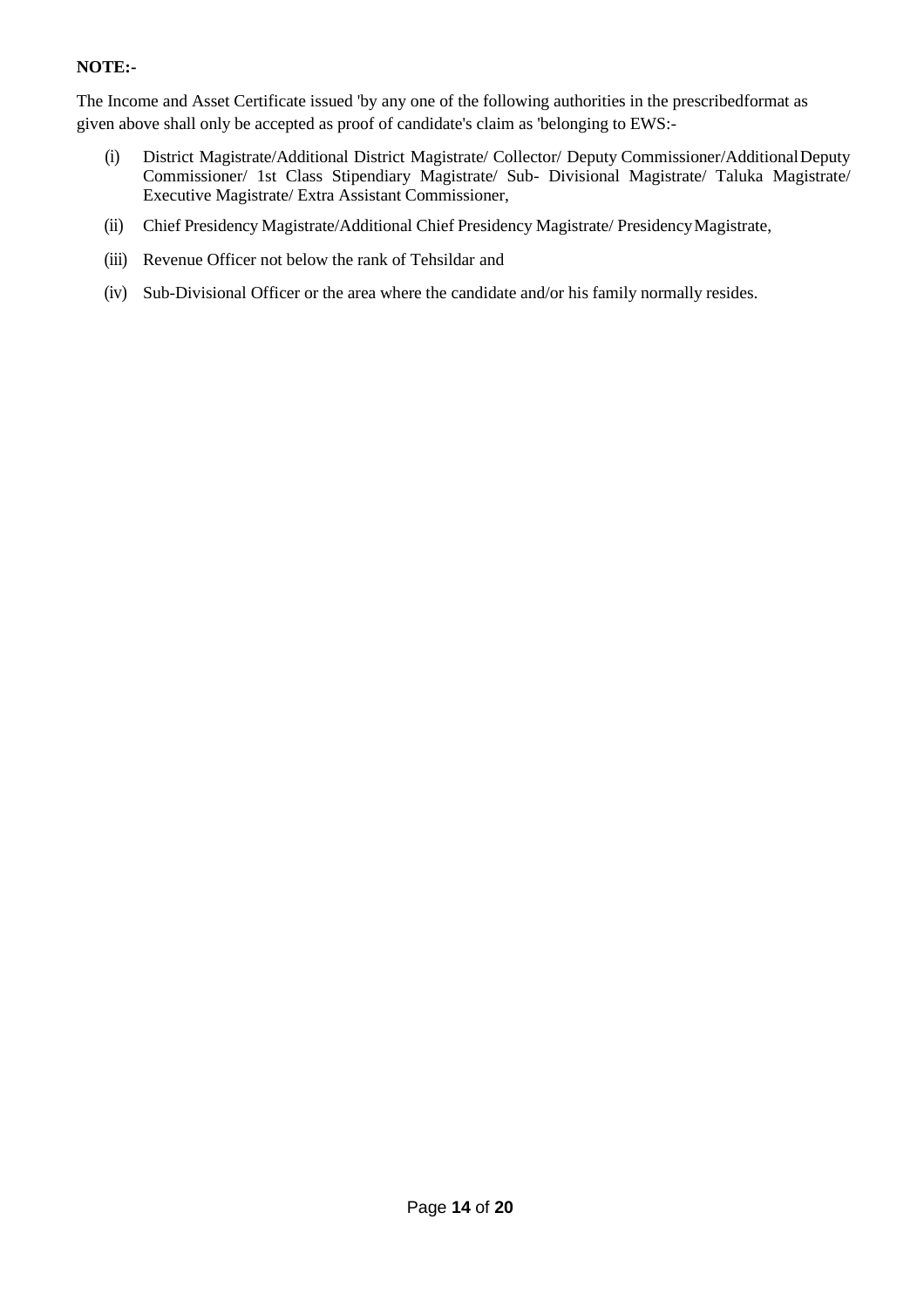# **NOTE:-**

The Income and Asset Certificate issued 'by any one of the following authorities in the prescribedformat as given above shall only be accepted as proof of candidate's claim as 'belonging to EWS:-

- (i) District Magistrate/Additional District Magistrate/ Collector/ Deputy Commissioner/AdditionalDeputy Commissioner/ 1st Class Stipendiary Magistrate/ Sub- Divisional Magistrate/ Taluka Magistrate/ Executive Magistrate/ Extra Assistant Commissioner,
- (ii) Chief Presidency Magistrate/Additional Chief Presidency Magistrate/ PresidencyMagistrate,
- (iii) Revenue Officer not below the rank of Tehsildar and
- (iv) Sub-Divisional Officer or the area where the candidate and/or his family normally resides.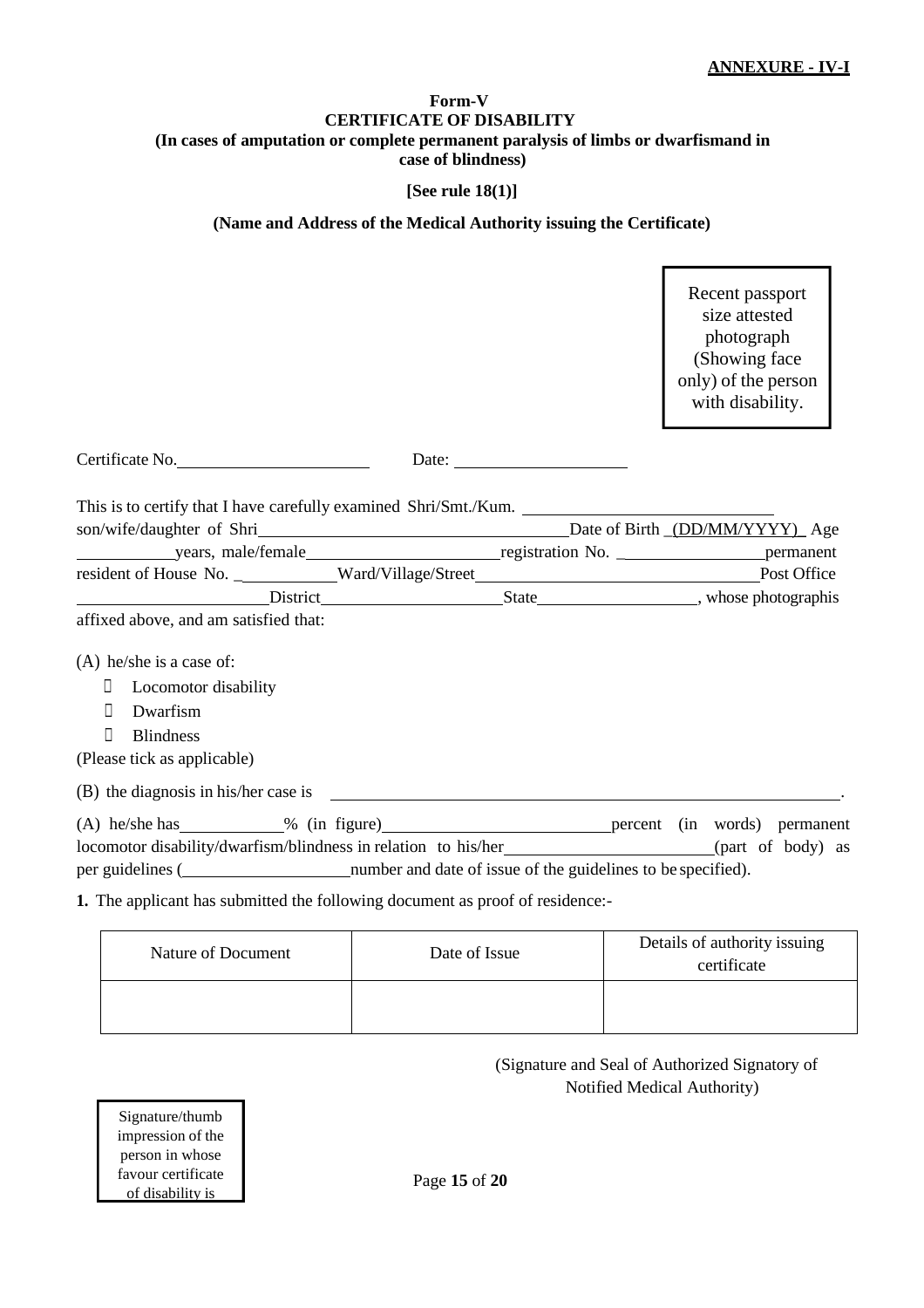#### **Form-V CERTIFICATE OF DISABILITY (In cases of amputation or complete permanent paralysis of limbs or dwarfismand in case of blindness)**

## **[See rule 18(1)]**

## **(Name and Address of the Medical Authority issuing the Certificate)**

Recent passport size attested photograph (Showing face only) of the person with disability.

| Certificate No.                                                                             |  |  |  |
|---------------------------------------------------------------------------------------------|--|--|--|
| This is to certify that I have carefully examined Shri/Smt./Kum.                            |  |  |  |
|                                                                                             |  |  |  |
|                                                                                             |  |  |  |
| resident of House No. ___________Ward/Village/Street____________________________Post Office |  |  |  |
|                                                                                             |  |  |  |
| affixed above, and am satisfied that:                                                       |  |  |  |
| $(A)$ he/she is a case of:                                                                  |  |  |  |
| Locomotor disability                                                                        |  |  |  |
| Л<br>Dwarfism                                                                               |  |  |  |
| П<br><b>Blindness</b>                                                                       |  |  |  |
| (Please tick as applicable)                                                                 |  |  |  |
| (B) the diagnosis in his/her case is                                                        |  |  |  |
|                                                                                             |  |  |  |
|                                                                                             |  |  |  |
|                                                                                             |  |  |  |
| 1. The applicant has submitted the following document as proof of residence:-               |  |  |  |

| Nature of Document | Date of Issue | Details of authority issuing<br>certificate |
|--------------------|---------------|---------------------------------------------|
|                    |               |                                             |

# (Signature and Seal of Authorized Signatory of Notified Medical Authority)

Signature/thumb impression of the person in whose favour certificate of disability is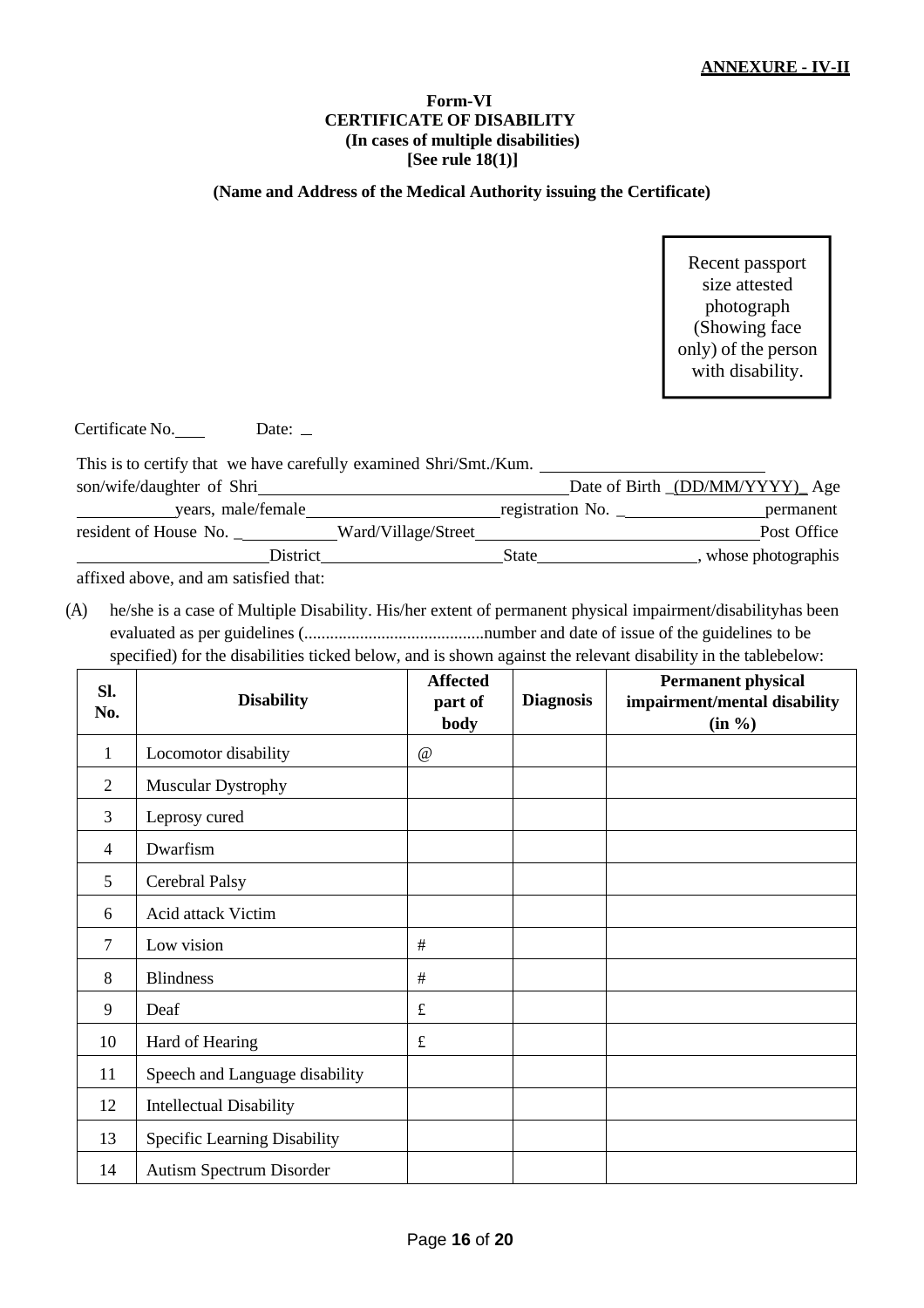#### **Form-VI CERTIFICATE OF DISABILITY (In cases of multiple disabilities) [See rule 18(1)]**

#### **(Name and Address of the Medical Authority issuing the Certificate)**

Recent passport size attested photograph (Showing face only) of the person with disability.

Certificate No. Date: \_

This is to certify that we have carefully examined Shri/Smt./Kum. son/wife/daughter of Shri Date of Birth \_(DD/MM/YYYY)\_ Age years, male/female registration No. permanent resident of House No. \_\_\_\_\_\_\_\_\_\_\_ Ward/Village/Street Post Office District State State , whose photographis

affixed above, and am satisfied that:

(A) he/she is a case of Multiple Disability. His/her extent of permanent physical impairment/disabilityhas been evaluated as per guidelines (..........................................number and date of issue of the guidelines to be specified) for the disabilities ticked below, and is shown against the relevant disability in the tablebelow:

| Sl.<br>No.   | <b>Disability</b>              | <b>Affected</b><br>part of<br>body | <b>Diagnosis</b> | <b>Permanent physical</b><br>impairment/mental disability<br>(in %) |
|--------------|--------------------------------|------------------------------------|------------------|---------------------------------------------------------------------|
| $\mathbf{1}$ | Locomotor disability           | @                                  |                  |                                                                     |
| 2            | Muscular Dystrophy             |                                    |                  |                                                                     |
| 3            | Leprosy cured                  |                                    |                  |                                                                     |
| 4            | Dwarfism                       |                                    |                  |                                                                     |
| 5            | Cerebral Palsy                 |                                    |                  |                                                                     |
| 6            | Acid attack Victim             |                                    |                  |                                                                     |
| 7            | Low vision                     | $\#$                               |                  |                                                                     |
| 8            | <b>Blindness</b>               | $\#$                               |                  |                                                                     |
| 9            | Deaf                           | $\pounds$                          |                  |                                                                     |
| 10           | Hard of Hearing                | $\pounds$                          |                  |                                                                     |
| 11           | Speech and Language disability |                                    |                  |                                                                     |
| 12           | <b>Intellectual Disability</b> |                                    |                  |                                                                     |
| 13           | Specific Learning Disability   |                                    |                  |                                                                     |
| 14           | Autism Spectrum Disorder       |                                    |                  |                                                                     |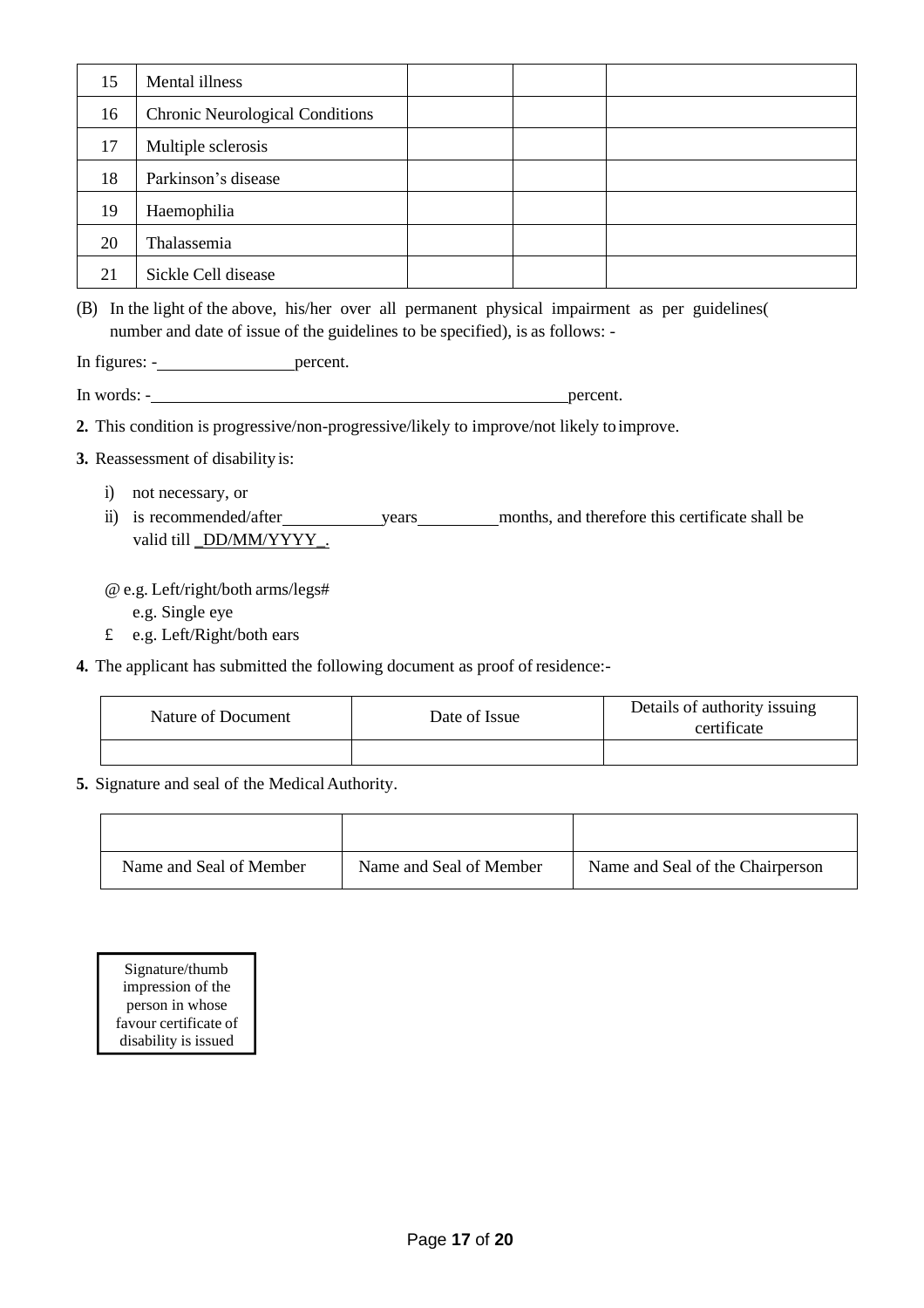| 15 | Mental illness                         |  |  |
|----|----------------------------------------|--|--|
| 16 | <b>Chronic Neurological Conditions</b> |  |  |
| 17 | Multiple sclerosis                     |  |  |
| 18 | Parkinson's disease                    |  |  |
| 19 | Haemophilia                            |  |  |
| 20 | Thalassemia                            |  |  |
| 21 | Sickle Cell disease                    |  |  |

(B) In the light of the above, his/her over all permanent physical impairment as per guidelines( number and date of issue of the guidelines to be specified), is as follows: -

In figures: - percent.

In words: - percent.

**2.** This condition is progressive/non-progressive/likely to improve/not likely toimprove.

- **3.** Reassessment of disability is:
	- i) not necessary, or
	- ii) is recommended/after years months, and therefore this certificate shall be valid till \_DD/MM/YYYY\_.

@ e.g. Left/right/both arms/legs#

e.g. Single eye

- £ e.g. Left/Right/both ears
- **4.** The applicant has submitted the following document as proof of residence:-

| Nature of Document | Date of Issue | Details of authority issuing<br>certificate |
|--------------------|---------------|---------------------------------------------|
|                    |               |                                             |

**5.** Signature and seal of the Medical Authority.

| Name and Seal of Member | Name and Seal of Member | Name and Seal of the Chairperson |
|-------------------------|-------------------------|----------------------------------|

Signature/thumb impression of the person in whose favour certificate of disability is issued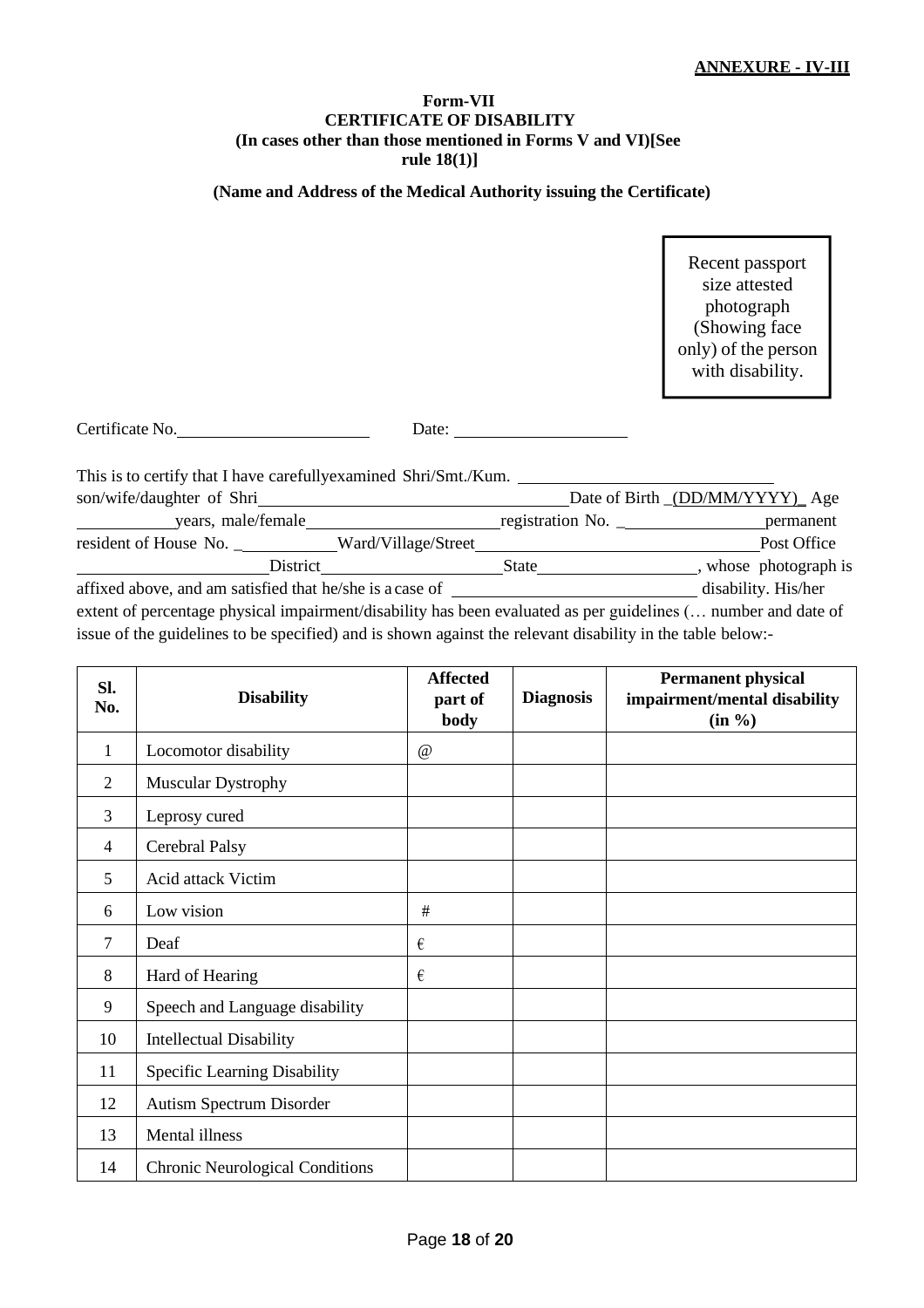#### **Form-VII CERTIFICATE OF DISABILITY (In cases other than those mentioned in Forms V and VI)[See rule 18(1)]**

# **(Name and Address of the Medical Authority issuing the Certificate)**

Recent passport size attested photograph (Showing face only) of the person with disability.

| Certificate No. | Date: |
|-----------------|-------|
|                 |       |

| This is to certify that I have carefully examined Shri/Smt./Kum.                                              |                  |                                |
|---------------------------------------------------------------------------------------------------------------|------------------|--------------------------------|
| son/wife/daughter of Shri                                                                                     |                  | Date of Birth (DD/MM/YYYY) Age |
| years, male/female<br><b>Contract Contract Contract</b>                                                       | registration No. | permanent                      |
| resident of House No. _______________Ward/Village/Street________________________                              |                  | Post Office                    |
| District                                                                                                      | State            | whose photograph is            |
| affixed above, and am satisfied that he/she is a case of                                                      |                  | disability. His/her            |
| extent of percentage physical impairment/disability has been evaluated as per guidelines ( number and date of |                  |                                |
| issue of the guidelines to be specified) and is shown against the relevant disability in the table below:-    |                  |                                |

| SI.<br>No.     | <b>Disability</b>                      | <b>Affected</b><br>part of<br>body | <b>Diagnosis</b> | <b>Permanent physical</b><br>impairment/mental disability<br>$(in \%)$ |
|----------------|----------------------------------------|------------------------------------|------------------|------------------------------------------------------------------------|
| 1              | Locomotor disability                   | $\omega$                           |                  |                                                                        |
| $\overline{2}$ | <b>Muscular Dystrophy</b>              |                                    |                  |                                                                        |
| 3              | Leprosy cured                          |                                    |                  |                                                                        |
| 4              | Cerebral Palsy                         |                                    |                  |                                                                        |
| 5              | Acid attack Victim                     |                                    |                  |                                                                        |
| 6              | Low vision                             | #                                  |                  |                                                                        |
| 7              | Deaf                                   | €                                  |                  |                                                                        |
| 8              | Hard of Hearing                        | $\epsilon$                         |                  |                                                                        |
| 9              | Speech and Language disability         |                                    |                  |                                                                        |
| 10             | <b>Intellectual Disability</b>         |                                    |                  |                                                                        |
| 11             | Specific Learning Disability           |                                    |                  |                                                                        |
| 12             | Autism Spectrum Disorder               |                                    |                  |                                                                        |
| 13             | Mental illness                         |                                    |                  |                                                                        |
| 14             | <b>Chronic Neurological Conditions</b> |                                    |                  |                                                                        |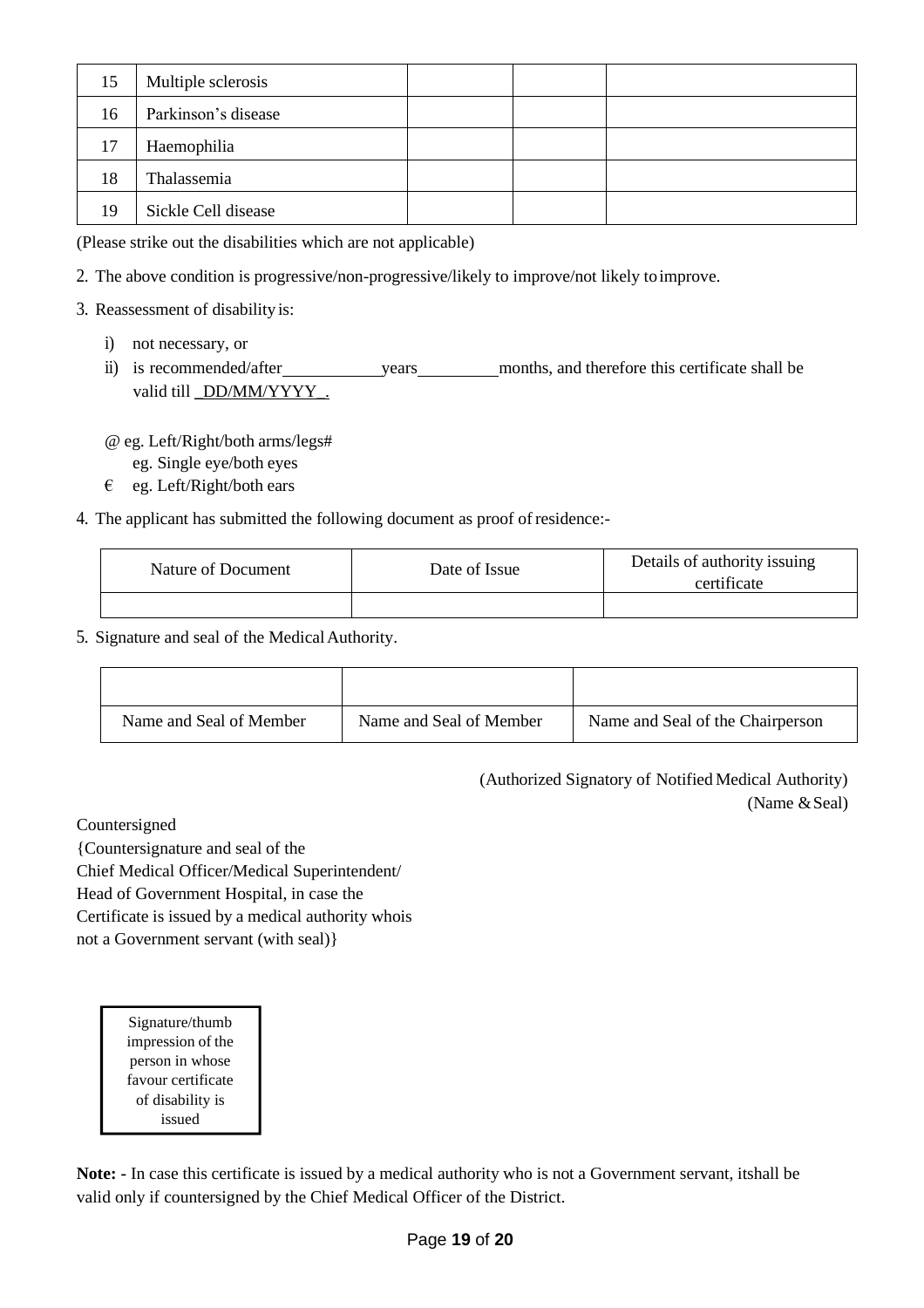| 15 | Multiple sclerosis  |  |  |
|----|---------------------|--|--|
| 16 | Parkinson's disease |  |  |
| 17 | Haemophilia         |  |  |
| 18 | Thalassemia         |  |  |
| 19 | Sickle Cell disease |  |  |

(Please strike out the disabilities which are not applicable)

- 2. The above condition is progressive/non-progressive/likely to improve/not likely toimprove.
- 3. Reassessment of disability is:
	- i) not necessary, or
	- ii) is recommended/after years months, and therefore this certificate shall be valid till DD/MM/YYYY .

@ eg. Left/Right/both arms/legs#

- eg. Single eye/both eyes
- $\epsilon$  eg. Left/Right/both ears
- 4. The applicant has submitted the following document as proof of residence:-

| Nature of Document | Date of Issue | Details of authority issuing<br>certificate |
|--------------------|---------------|---------------------------------------------|
|                    |               |                                             |

5. Signature and seal of the MedicalAuthority.

| Name and Seal of Member | Name and Seal of Member | Name and Seal of the Chairperson |
|-------------------------|-------------------------|----------------------------------|

(Authorized Signatory of Notified Medical Authority) (Name & Seal)

Countersigned

{Countersignature and seal of the Chief Medical Officer/Medical Superintendent/ Head of Government Hospital, in case the Certificate is issued by a medical authority whois not a Government servant (with seal)}

> Signature/thumb impression of the person in whose favour certificate of disability is issued

**Note: -** In case this certificate is issued by a medical authority who is not a Government servant, itshall be valid only if countersigned by the Chief Medical Officer of the District.